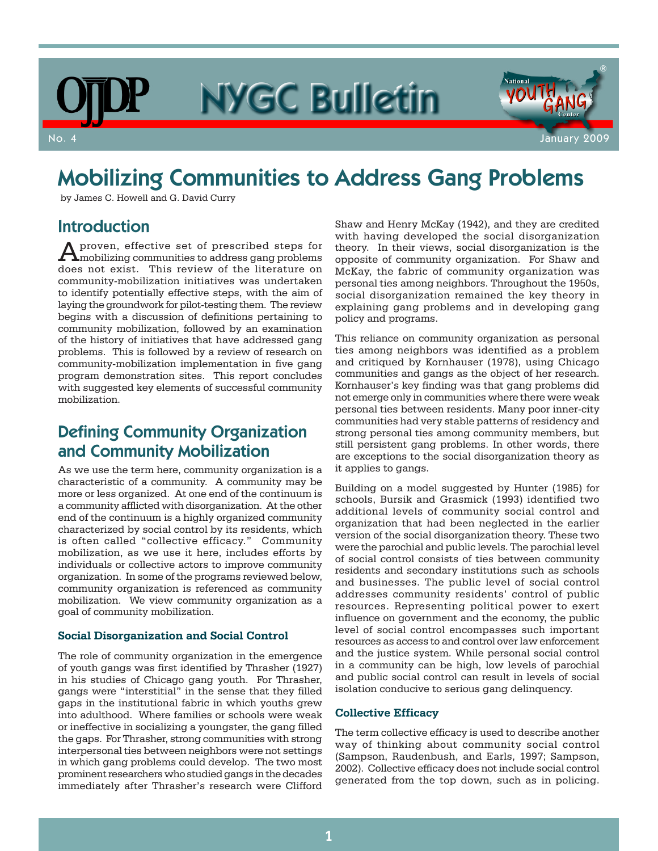# NYGC Bulletin



## Mobilizing Communities to Address Gang Problems

by James C. Howell and G. David Curry

### Introduction

Aproven, effective set of prescribed steps for mobilizing communities to address gang problems does not exist. This review of the literature on community-mobilization initiatives was undertaken to identify potentially effective steps, with the aim of laying the groundwork for pilot-testing them. The review begins with a discussion of definitions pertaining to community mobilization, followed by an examination of the history of initiatives that have addressed gang problems. This is followed by a review of research on community-mobilization implementation in five gang program demonstration sites. This report concludes with suggested key elements of successful community mobilization.

## Defining Community Organization and Community Mobilization

As we use the term here, community organization is a characteristic of a community. A community may be more or less organized. At one end of the continuum is a community afflicted with disorganization. At the other end of the continuum is a highly organized community characterized by social control by its residents, which is often called "collective efficacy." Community mobilization, as we use it here, includes efforts by individuals or collective actors to improve community organization. In some of the programs reviewed below, community organization is referenced as community mobilization. We view community organization as a goal of community mobilization.

#### **Social Disorganization and Social Control**

The role of community organization in the emergence of youth gangs was first identified by Thrasher (1927) in his studies of Chicago gang youth. For Thrasher, gangs were "interstitial" in the sense that they filled gaps in the institutional fabric in which youths grew into adulthood. Where families or schools were weak or ineffective in socializing a youngster, the gang filled the gaps. For Thrasher, strong communities with strong interpersonal ties between neighbors were not settings in which gang problems could develop. The two most prominent researchers who studied gangs in the decades immediately after Thrasher's research were Clifford

Shaw and Henry McKay (1942), and they are credited with having developed the social disorganization theory. In their views, social disorganization is the opposite of community organization. For Shaw and McKay, the fabric of community organization was personal ties among neighbors. Throughout the 1950s, social disorganization remained the key theory in explaining gang problems and in developing gang policy and programs.

This reliance on community organization as personal ties among neighbors was identified as a problem and critiqued by Kornhauser (1978), using Chicago communities and gangs as the object of her research. Kornhauser's key finding was that gang problems did not emerge only in communities where there were weak personal ties between residents. Many poor inner-city communities had very stable patterns of residency and strong personal ties among community members, but still persistent gang problems. In other words, there are exceptions to the social disorganization theory as it applies to gangs.

Building on a model suggested by Hunter (1985) for schools, Bursik and Grasmick (1993) identified two additional levels of community social control and organization that had been neglected in the earlier version of the social disorganization theory. These two were the parochial and public levels. The parochial level of social control consists of ties between community residents and secondary institutions such as schools and businesses. The public level of social control addresses community residents' control of public resources. Representing political power to exert influence on government and the economy, the public level of social control encompasses such important resources as access to and control over law enforcement and the justice system. While personal social control in a community can be high, low levels of parochial and public social control can result in levels of social isolation conducive to serious gang delinquency.

#### **Collective Efficacy**

The term collective efficacy is used to describe another way of thinking about community social control (Sampson, Raudenbush, and Earls, 1997; Sampson, 2002). Collective efficacy does not include social control generated from the top down, such as in policing.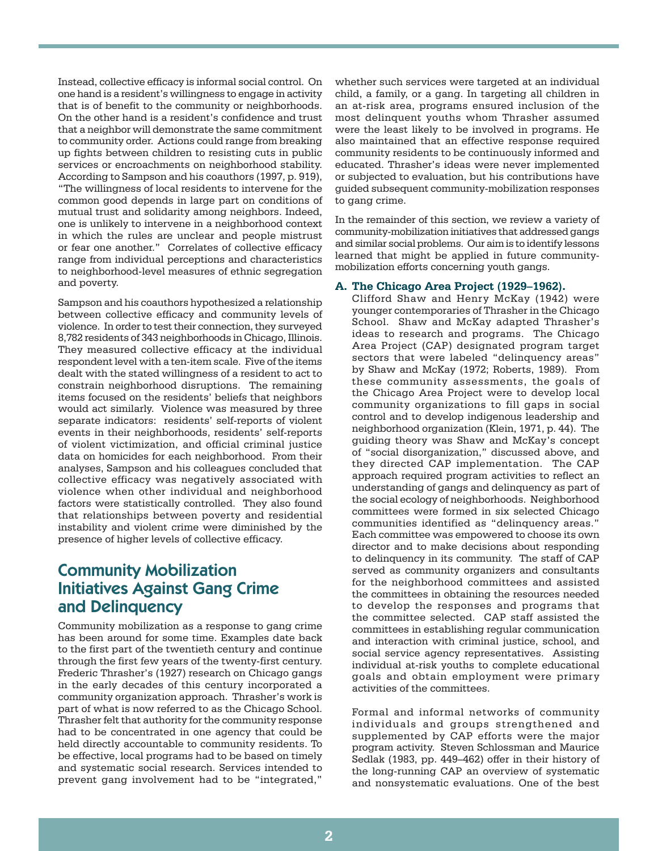Instead, collective efficacy is informal social control. On one hand is a resident's willingness to engage in activity that is of benefit to the community or neighborhoods. On the other hand is a resident's confidence and trust that a neighbor will demonstrate the same commitment to community order. Actions could range from breaking up fights between children to resisting cuts in public services or encroachments on neighborhood stability. According to Sampson and his coauthors (1997, p. 919), "The willingness of local residents to intervene for the common good depends in large part on conditions of mutual trust and solidarity among neighbors. Indeed, one is unlikely to intervene in a neighborhood context in which the rules are unclear and people mistrust or fear one another." Correlates of collective efficacy range from individual perceptions and characteristics to neighborhood-level measures of ethnic segregation and poverty.

Sampson and his coauthors hypothesized a relationship between collective efficacy and community levels of violence. In order to test their connection, they surveyed 8,782 residents of 343 neighborhoods in Chicago, Illinois. They measured collective efficacy at the individual respondent level with a ten-item scale. Five of the items dealt with the stated willingness of a resident to act to constrain neighborhood disruptions. The remaining items focused on the residents' beliefs that neighbors would act similarly. Violence was measured by three separate indicators: residents' self-reports of violent events in their neighborhoods, residents' self-reports of violent victimization, and official criminal justice data on homicides for each neighborhood. From their analyses, Sampson and his colleagues concluded that collective efficacy was negatively associated with violence when other individual and neighborhood factors were statistically controlled. They also found that relationships between poverty and residential instability and violent crime were diminished by the presence of higher levels of collective efficacy.

## Community Mobilization Initiatives Against Gang Crime and Delinquency

Community mobilization as a response to gang crime has been around for some time. Examples date back to the first part of the twentieth century and continue through the first few years of the twenty-first century. Frederic Thrasher's (1927) research on Chicago gangs in the early decades of this century incorporated a community organization approach. Thrasher's work is part of what is now referred to as the Chicago School. Thrasher felt that authority for the community response had to be concentrated in one agency that could be held directly accountable to community residents. To be effective, local programs had to be based on timely and systematic social research. Services intended to prevent gang involvement had to be "integrated,"

whether such services were targeted at an individual child, a family, or a gang. In targeting all children in an at-risk area, programs ensured inclusion of the most delinquent youths whom Thrasher assumed were the least likely to be involved in programs. He also maintained that an effective response required community residents to be continuously informed and educated. Thrasher's ideas were never implemented or subjected to evaluation, but his contributions have guided subsequent community-mobilization responses to gang crime.

In the remainder of this section, we review a variety of community-mobilization initiatives that addressed gangs and similar social problems. Our aim is to identify lessons learned that might be applied in future communitymobilization efforts concerning youth gangs.

#### **A. The Chicago Area Project (1929–1962).**

Clifford Shaw and Henry McKay (1942) were younger contemporaries of Thrasher in the Chicago School. Shaw and McKay adapted Thrasher's ideas to research and programs. The Chicago Area Project (CAP) designated program target sectors that were labeled "delinquency areas" by Shaw and McKay (1972; Roberts, 1989). From these community assessments, the goals of the Chicago Area Project were to develop local community organizations to fill gaps in social control and to develop indigenous leadership and neighborhood organization (Klein, 1971, p. 44). The guiding theory was Shaw and McKay's concept of "social disorganization," discussed above, and they directed CAP implementation. The CAP approach required program activities to reflect an understanding of gangs and delinquency as part of the social ecology of neighborhoods. Neighborhood committees were formed in six selected Chicago communities identified as "delinquency areas." Each committee was empowered to choose its own director and to make decisions about responding to delinquency in its community. The staff of CAP served as community organizers and consultants for the neighborhood committees and assisted the committees in obtaining the resources needed to develop the responses and programs that the committee selected. CAP staff assisted the committees in establishing regular communication and interaction with criminal justice, school, and social service agency representatives. Assisting individual at-risk youths to complete educational goals and obtain employment were primary activities of the committees.

Formal and informal networks of community individuals and groups strengthened and supplemented by CAP efforts were the major program activity. Steven Schlossman and Maurice Sedlak (1983, pp. 449–462) offer in their history of the long-running CAP an overview of systematic and nonsystematic evaluations. One of the best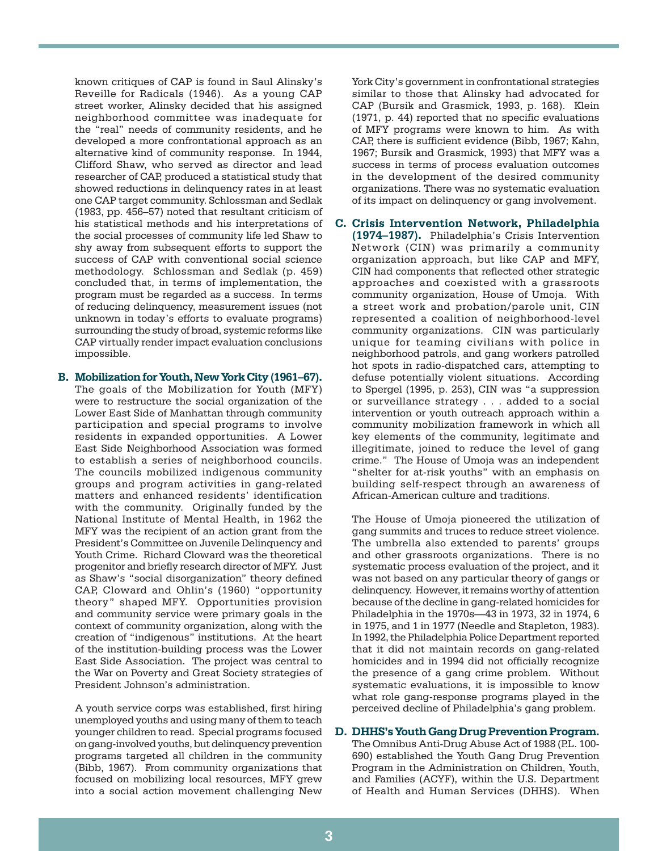known critiques of CAP is found in Saul Alinsky's Reveille for Radicals (1946). As a young CAP street worker, Alinsky decided that his assigned neighborhood committee was inadequate for the "real" needs of community residents, and he developed a more confrontational approach as an alternative kind of community response. In 1944, Clifford Shaw, who served as director and lead researcher of CAP, produced a statistical study that showed reductions in delinquency rates in at least one CAP target community. Schlossman and Sedlak (1983, pp. 456–57) noted that resultant criticism of his statistical methods and his interpretations of the social processes of community life led Shaw to shy away from subsequent efforts to support the success of CAP with conventional social science methodology. Schlossman and Sedlak (p. 459) concluded that, in terms of implementation, the program must be regarded as a success. In terms of reducing delinquency, measurement issues (not unknown in today's efforts to evaluate programs) surrounding the study of broad, systemic reforms like CAP virtually render impact evaluation conclusions impossible.

**B. Mobilization for Youth, New York City (1961–67).** The goals of the Mobilization for Youth (MFY) were to restructure the social organization of the Lower East Side of Manhattan through community participation and special programs to involve residents in expanded opportunities. A Lower East Side Neighborhood Association was formed to establish a series of neighborhood councils. The councils mobilized indigenous community groups and program activities in gang-related matters and enhanced residents' identification with the community. Originally funded by the National Institute of Mental Health, in 1962 the MFY was the recipient of an action grant from the President's Committee on Juvenile Delinquency and Youth Crime. Richard Cloward was the theoretical progenitor and briefly research director of MFY. Just as Shaw's "social disorganization" theory defined CAP, Cloward and Ohlin's (1960) "opportunity theory" shaped MFY. Opportunities provision and community service were primary goals in the context of community organization, along with the creation of "indigenous" institutions. At the heart of the institution-building process was the Lower East Side Association. The project was central to the War on Poverty and Great Society strategies of President Johnson's administration.

A youth service corps was established, first hiring unemployed youths and using many of them to teach younger children to read. Special programs focused on gang-involved youths, but delinquency prevention programs targeted all children in the community (Bibb, 1967). From community organizations that focused on mobilizing local resources, MFY grew into a social action movement challenging New

York City's government in confrontational strategies similar to those that Alinsky had advocated for CAP (Bursik and Grasmick, 1993, p. 168). Klein (1971, p. 44) reported that no specific evaluations of MFY programs were known to him. As with CAP, there is sufficient evidence (Bibb, 1967; Kahn, 1967; Bursik and Grasmick, 1993) that MFY was a success in terms of process evaluation outcomes in the development of the desired community organizations. There was no systematic evaluation of its impact on delinquency or gang involvement.

**C. Crisis Intervention Network, Philadelphia (1974–1987).** Philadelphia's Crisis Intervention Network (CIN) was primarily a community organization approach, but like CAP and MFY, CIN had components that reflected other strategic approaches and coexisted with a grassroots community organization, House of Umoja. With a street work and probation/parole unit, CIN represented a coalition of neighborhood-level community organizations. CIN was particularly unique for teaming civilians with police in neighborhood patrols, and gang workers patrolled hot spots in radio-dispatched cars, attempting to defuse potentially violent situations. According to Spergel (1995, p. 253), CIN was "a suppression or surveillance strategy . . . added to a social intervention or youth outreach approach within a community mobilization framework in which all key elements of the community, legitimate and illegitimate, joined to reduce the level of gang crime." The House of Umoja was an independent "shelter for at-risk youths" with an emphasis on building self-respect through an awareness of African-American culture and traditions.

The House of Umoja pioneered the utilization of gang summits and truces to reduce street violence. The umbrella also extended to parents' groups and other grassroots organizations. There is no systematic process evaluation of the project, and it was not based on any particular theory of gangs or delinquency. However, it remains worthy of attention because of the decline in gang-related homicides for Philadelphia in the 1970s—43 in 1973, 32 in 1974, 6 in 1975, and 1 in 1977 (Needle and Stapleton, 1983). In 1992, the Philadelphia Police Department reported that it did not maintain records on gang-related homicides and in 1994 did not officially recognize the presence of a gang crime problem. Without systematic evaluations, it is impossible to know what role gang-response programs played in the perceived decline of Philadelphia's gang problem.

#### **D. DHHS's Youth Gang Drug Prevention Program.**

The Omnibus Anti-Drug Abuse Act of 1988 (P.L. 100- 690) established the Youth Gang Drug Prevention Program in the Administration on Children, Youth, and Families (ACYF), within the U.S. Department of Health and Human Services (DHHS). When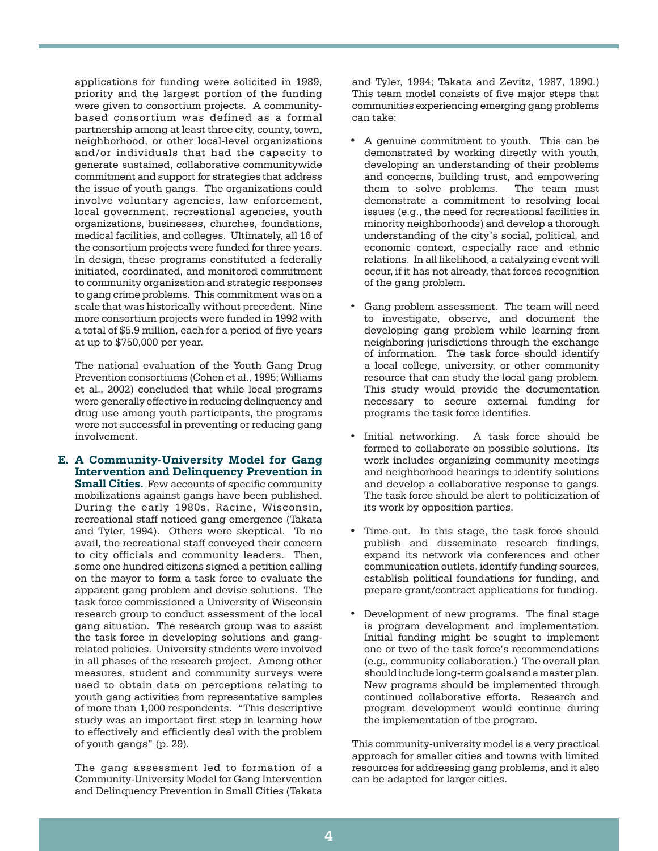applications for funding were solicited in 1989, priority and the largest portion of the funding were given to consortium projects. A communitybased consortium was defined as a formal partnership among at least three city, county, town, neighborhood, or other local-level organizations and/or individuals that had the capacity to generate sustained, collaborative communitywide commitment and support for strategies that address the issue of youth gangs. The organizations could involve voluntary agencies, law enforcement, local government, recreational agencies, youth organizations, businesses, churches, foundations, medical facilities, and colleges. Ultimately, all 16 of the consortium projects were funded for three years. In design, these programs constituted a federally initiated, coordinated, and monitored commitment to community organization and strategic responses to gang crime problems. This commitment was on a scale that was historically without precedent. Nine more consortium projects were funded in 1992 with a total of \$5.9 million, each for a period of five years at up to \$750,000 per year.

The national evaluation of the Youth Gang Drug Prevention consortiums (Cohen et al., 1995; Williams et al., 2002) concluded that while local programs were generally effective in reducing delinquency and drug use among youth participants, the programs were not successful in preventing or reducing gang involvement.

**E. A Community-University Model for Gang Intervention and Delinquency Prevention in Small Cities.** Few accounts of specific community mobilizations against gangs have been published. During the early 1980s, Racine, Wisconsin, recreational staff noticed gang emergence (Takata and Tyler, 1994). Others were skeptical. To no avail, the recreational staff conveyed their concern to city officials and community leaders. Then, some one hundred citizens signed a petition calling on the mayor to form a task force to evaluate the apparent gang problem and devise solutions. The task force commissioned a University of Wisconsin research group to conduct assessment of the local gang situation. The research group was to assist the task force in developing solutions and gangrelated policies. University students were involved in all phases of the research project. Among other measures, student and community surveys were used to obtain data on perceptions relating to youth gang activities from representative samples of more than 1,000 respondents. "This descriptive study was an important first step in learning how to effectively and efficiently deal with the problem of youth gangs" (p. 29).

The gang assessment led to formation of a Community-University Model for Gang Intervention and Delinquency Prevention in Small Cities (Takata

and Tyler, 1994; Takata and Zevitz, 1987, 1990.) This team model consists of five major steps that communities experiencing emerging gang problems can take:

- A genuine commitment to youth. This can be demonstrated by working directly with youth, developing an understanding of their problems and concerns, building trust, and empowering<br>them to solve problems. The team must them to solve problems. demonstrate a commitment to resolving local issues (e.g., the need for recreational facilities in minority neighborhoods) and develop a thorough understanding of the city's social, political, and economic context, especially race and ethnic relations. In all likelihood, a catalyzing event will occur, if it has not already, that forces recognition of the gang problem.
- Gang problem assessment. The team will need to investigate, observe, and document the developing gang problem while learning from neighboring jurisdictions through the exchange of information. The task force should identify a local college, university, or other community resource that can study the local gang problem. This study would provide the documentation necessary to secure external funding for programs the task force identifies.
- Initial networking. A task force should be formed to collaborate on possible solutions. Its work includes organizing community meetings and neighborhood hearings to identify solutions and develop a collaborative response to gangs. The task force should be alert to politicization of its work by opposition parties.
- Time-out. In this stage, the task force should publish and disseminate research findings, expand its network via conferences and other communication outlets, identify funding sources, establish political foundations for funding, and prepare grant/contract applications for funding.
- Development of new programs. The final stage is program development and implementation. Initial funding might be sought to implement one or two of the task force's recommendations (e.g., community collaboration.) The overall plan should include long-term goals and a master plan. New programs should be implemented through continued collaborative efforts. Research and program development would continue during the implementation of the program.

This community-university model is a very practical approach for smaller cities and towns with limited resources for addressing gang problems, and it also can be adapted for larger cities.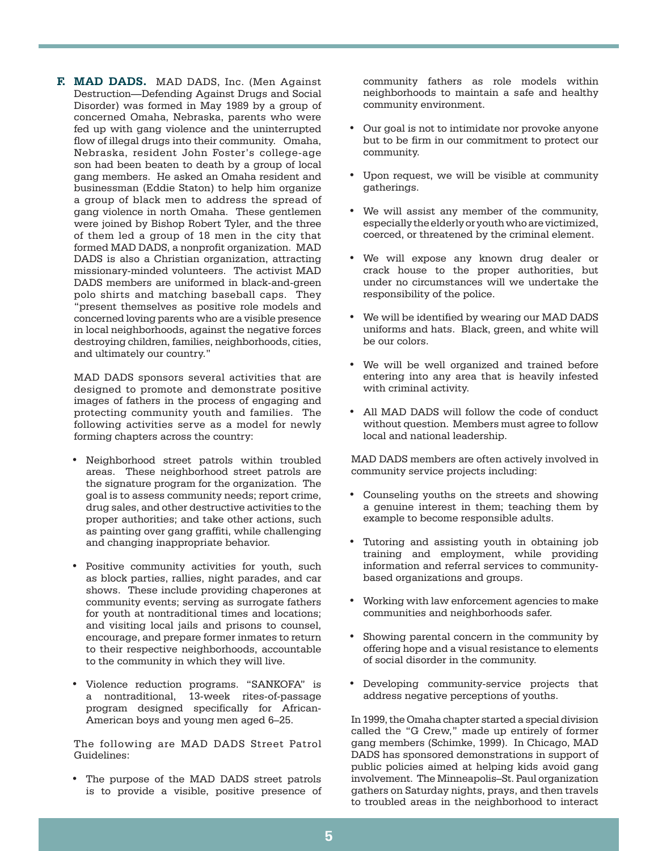**F. MAD DADS.** MAD DADS, Inc. (Men Against Destruction—Defending Against Drugs and Social Disorder) was formed in May 1989 by a group of concerned Omaha, Nebraska, parents who were fed up with gang violence and the uninterrupted flow of illegal drugs into their community. Omaha, Nebraska, resident John Foster's college-age son had been beaten to death by a group of local gang members. He asked an Omaha resident and businessman (Eddie Staton) to help him organize a group of black men to address the spread of gang violence in north Omaha. These gentlemen were joined by Bishop Robert Tyler, and the three of them led a group of 18 men in the city that formed MAD DADS, a nonprofit organization. MAD DADS is also a Christian organization, attracting missionary-minded volunteers. The activist MAD DADS members are uniformed in black-and-green polo shirts and matching baseball caps. They "present themselves as positive role models and concerned loving parents who are a visible presence in local neighborhoods, against the negative forces destroying children, families, neighborhoods, cities, and ultimately our country."

MAD DADS sponsors several activities that are designed to promote and demonstrate positive images of fathers in the process of engaging and protecting community youth and families. The following activities serve as a model for newly forming chapters across the country:

- • Neighborhood street patrols within troubled areas. These neighborhood street patrols are the signature program for the organization. The goal is to assess community needs; report crime, drug sales, and other destructive activities to the proper authorities; and take other actions, such as painting over gang graffiti, while challenging and changing inappropriate behavior.
- • Positive community activities for youth, such as block parties, rallies, night parades, and car shows. These include providing chaperones at community events; serving as surrogate fathers for youth at nontraditional times and locations; and visiting local jails and prisons to counsel, encourage, and prepare former inmates to return to their respective neighborhoods, accountable to the community in which they will live.
- • Violence reduction programs. "SANKOFA" is a nontraditional, 13-week rites-of-passage program designed specifically for African-American boys and young men aged 6–25.

The following are MAD DADS Street Patrol Guidelines:

• The purpose of the MAD DADS street patrols is to provide a visible, positive presence of community fathers as role models within neighborhoods to maintain a safe and healthy community environment.

- Our goal is not to intimidate nor provoke anyone but to be firm in our commitment to protect our community.
- • Upon request, we will be visible at community gatherings.
- • We will assist any member of the community, especially the elderly or youth who are victimized, coerced, or threatened by the criminal element.
- We will expose any known drug dealer or crack house to the proper authorities, but under no circumstances will we undertake the responsibility of the police.
- We will be identified by wearing our MAD DADS uniforms and hats. Black, green, and white will be our colors.
- • We will be well organized and trained before entering into any area that is heavily infested with criminal activity.
- • All MAD DADS will follow the code of conduct without question. Members must agree to follow local and national leadership.

MAD DADS members are often actively involved in community service projects including:

- Counseling youths on the streets and showing a genuine interest in them; teaching them by example to become responsible adults.
- Tutoring and assisting youth in obtaining job training and employment, while providing information and referral services to communitybased organizations and groups.
- Working with law enforcement agencies to make communities and neighborhoods safer.
- Showing parental concern in the community by offering hope and a visual resistance to elements of social disorder in the community.
- • Developing community-service projects that address negative perceptions of youths.

In 1999, the Omaha chapter started a special division called the "G Crew," made up entirely of former gang members (Schimke, 1999). In Chicago, MAD DADS has sponsored demonstrations in support of public policies aimed at helping kids avoid gang involvement. The Minneapolis–St. Paul organization gathers on Saturday nights, prays, and then travels to troubled areas in the neighborhood to interact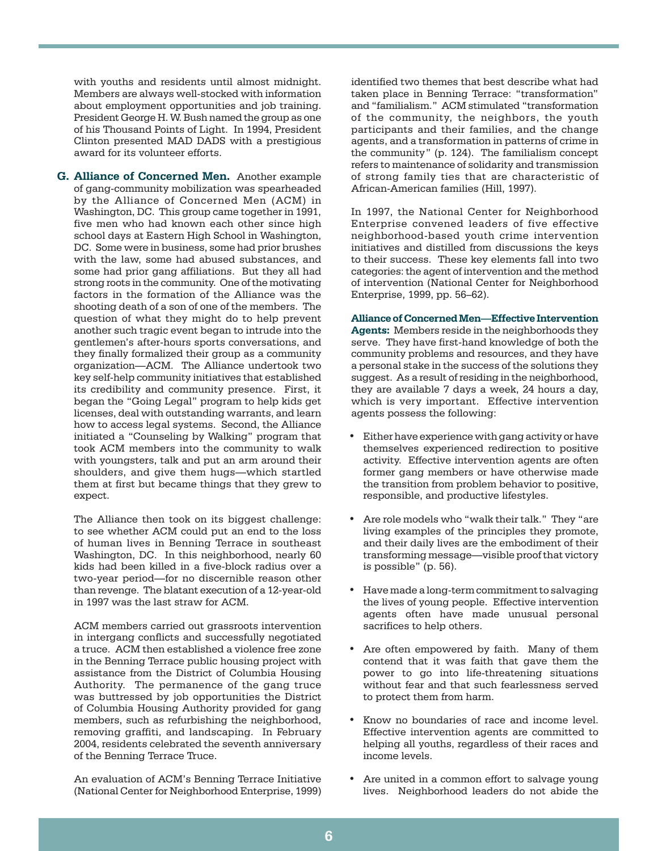with youths and residents until almost midnight. Members are always well-stocked with information about employment opportunities and job training. President George H. W. Bush named the group as one of his Thousand Points of Light. In 1994, President Clinton presented MAD DADS with a prestigious award for its volunteer efforts.

**G. Alliance of Concerned Men.** Another example of gang-community mobilization was spearheaded by the Alliance of Concerned Men (ACM) in Washington, DC. This group came together in 1991, five men who had known each other since high school days at Eastern High School in Washington, DC. Some were in business, some had prior brushes with the law, some had abused substances, and some had prior gang affiliations. But they all had strong roots in the community. One of the motivating factors in the formation of the Alliance was the shooting death of a son of one of the members. The question of what they might do to help prevent another such tragic event began to intrude into the gentlemen's after-hours sports conversations, and they finally formalized their group as a community organization—ACM. The Alliance undertook two key self-help community initiatives that established its credibility and community presence. First, it began the "Going Legal" program to help kids get licenses, deal with outstanding warrants, and learn how to access legal systems. Second, the Alliance initiated a "Counseling by Walking" program that took ACM members into the community to walk with youngsters, talk and put an arm around their shoulders, and give them hugs—which startled them at first but became things that they grew to expect.

The Alliance then took on its biggest challenge: to see whether ACM could put an end to the loss of human lives in Benning Terrace in southeast Washington, DC. In this neighborhood, nearly 60 kids had been killed in a five-block radius over a two-year period—for no discernible reason other than revenge. The blatant execution of a 12-year-old in 1997 was the last straw for ACM.

ACM members carried out grassroots intervention in intergang conflicts and successfully negotiated a truce. ACM then established a violence free zone in the Benning Terrace public housing project with assistance from the District of Columbia Housing Authority. The permanence of the gang truce was buttressed by job opportunities the District of Columbia Housing Authority provided for gang members, such as refurbishing the neighborhood, removing graffiti, and landscaping. In February 2004, residents celebrated the seventh anniversary of the Benning Terrace Truce.

An evaluation of ACM's Benning Terrace Initiative (National Center for Neighborhood Enterprise, 1999) identified two themes that best describe what had taken place in Benning Terrace: "transformation" and "familialism." ACM stimulated "transformation of the community, the neighbors, the youth participants and their families, and the change agents, and a transformation in patterns of crime in the community" (p. 124). The familialism concept refers to maintenance of solidarity and transmission of strong family ties that are characteristic of African-American families (Hill, 1997).

In 1997, the National Center for Neighborhood Enterprise convened leaders of five effective neighborhood-based youth crime intervention initiatives and distilled from discussions the keys to their success. These key elements fall into two categories: the agent of intervention and the method of intervention (National Center for Neighborhood Enterprise, 1999, pp. 56–62).

**Alliance of Concerned Men—Effective Intervention Agents:** Members reside in the neighborhoods they serve. They have first-hand knowledge of both the community problems and resources, and they have a personal stake in the success of the solutions they suggest. As a result of residing in the neighborhood, they are available 7 days a week, 24 hours a day, which is very important. Effective intervention agents possess the following:

- Either have experience with gang activity or have themselves experienced redirection to positive activity. Effective intervention agents are often former gang members or have otherwise made the transition from problem behavior to positive, responsible, and productive lifestyles.
- Are role models who "walk their talk." They "are living examples of the principles they promote, and their daily lives are the embodiment of their transforming message—visible proof that victory is possible" (p. 56).
- Have made a long-term commitment to salvaging the lives of young people. Effective intervention agents often have made unusual personal sacrifices to help others.
- Are often empowered by faith. Many of them contend that it was faith that gave them the power to go into life-threatening situations without fear and that such fearlessness served to protect them from harm.
- Know no boundaries of race and income level. Effective intervention agents are committed to helping all youths, regardless of their races and income levels.
- Are united in a common effort to salvage young lives. Neighborhood leaders do not abide the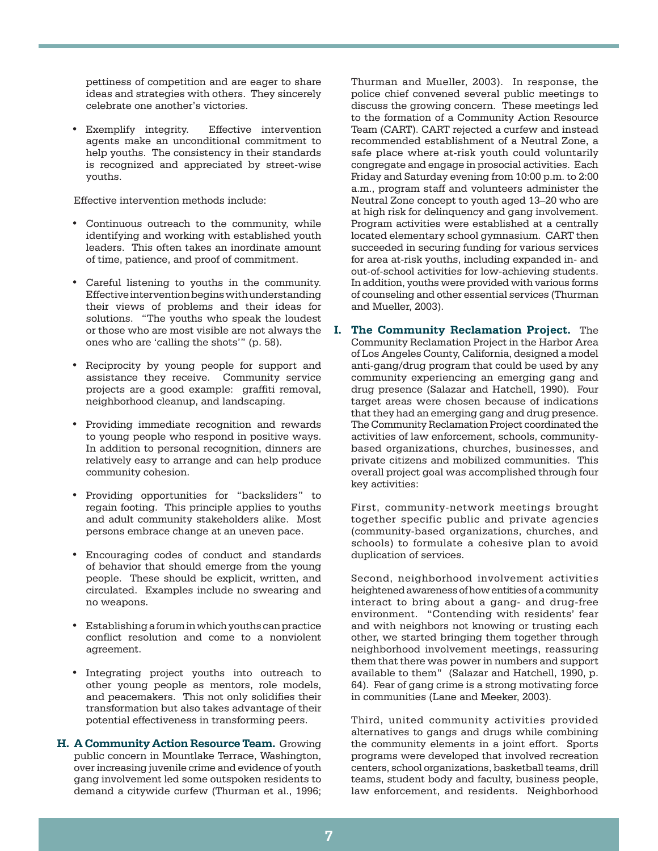pettiness of competition and are eager to share ideas and strategies with others. They sincerely celebrate one another's victories.

• Exemplify integrity. Effective intervention agents make an unconditional commitment to help youths. The consistency in their standards is recognized and appreciated by street-wise youths.

Effective intervention methods include:

- • Continuous outreach to the community, while identifying and working with established youth leaders. This often takes an inordinate amount of time, patience, and proof of commitment.
- • Careful listening to youths in the community. Effective intervention begins with understanding their views of problems and their ideas for solutions. "The youths who speak the loudest or those who are most visible are not always the ones who are 'calling the shots'" (p. 58).
- • Reciprocity by young people for support and assistance they receive. Community service projects are a good example: graffiti removal, neighborhood cleanup, and landscaping.
- • Providing immediate recognition and rewards to young people who respond in positive ways. In addition to personal recognition, dinners are relatively easy to arrange and can help produce community cohesion.
- • Providing opportunities for "backsliders" to regain footing. This principle applies to youths and adult community stakeholders alike. Most persons embrace change at an uneven pace.
- • Encouraging codes of conduct and standards of behavior that should emerge from the young people. These should be explicit, written, and circulated. Examples include no swearing and no weapons.
- Establishing a forum in which youths can practice conflict resolution and come to a nonviolent agreement.
- • Integrating project youths into outreach to other young people as mentors, role models, and peacemakers. This not only solidifies their transformation but also takes advantage of their potential effectiveness in transforming peers.
- **H. A Community Action Resource Team.** Growing public concern in Mountlake Terrace, Washington, over increasing juvenile crime and evidence of youth gang involvement led some outspoken residents to demand a citywide curfew (Thurman et al., 1996;

Thurman and Mueller, 2003). In response, the police chief convened several public meetings to discuss the growing concern. These meetings led to the formation of a Community Action Resource Team (CART). CART rejected a curfew and instead recommended establishment of a Neutral Zone, a safe place where at-risk youth could voluntarily congregate and engage in prosocial activities. Each Friday and Saturday evening from 10:00 p.m. to 2:00 a.m., program staff and volunteers administer the Neutral Zone concept to youth aged 13–20 who are at high risk for delinquency and gang involvement. Program activities were established at a centrally located elementary school gymnasium. CART then succeeded in securing funding for various services for area at-risk youths, including expanded in- and out-of-school activities for low-achieving students. In addition, youths were provided with various forms of counseling and other essential services (Thurman and Mueller, 2003).

**I. The Community Reclamation Project.** The Community Reclamation Project in the Harbor Area of Los Angeles County, California, designed a model anti-gang/drug program that could be used by any community experiencing an emerging gang and drug presence (Salazar and Hatchell, 1990). Four target areas were chosen because of indications that they had an emerging gang and drug presence. The Community Reclamation Project coordinated the activities of law enforcement, schools, communitybased organizations, churches, businesses, and private citizens and mobilized communities. This overall project goal was accomplished through four key activities:

First, community-network meetings brought together specific public and private agencies (community-based organizations, churches, and schools) to formulate a cohesive plan to avoid duplication of services.

Second, neighborhood involvement activities heightened awareness of how entities of a community interact to bring about a gang- and drug-free environment. "Contending with residents' fear and with neighbors not knowing or trusting each other, we started bringing them together through neighborhood involvement meetings, reassuring them that there was power in numbers and support available to them" (Salazar and Hatchell, 1990, p. 64). Fear of gang crime is a strong motivating force in communities (Lane and Meeker, 2003).

Third, united community activities provided alternatives to gangs and drugs while combining the community elements in a joint effort. Sports programs were developed that involved recreation centers, school organizations, basketball teams, drill teams, student body and faculty, business people, law enforcement, and residents. Neighborhood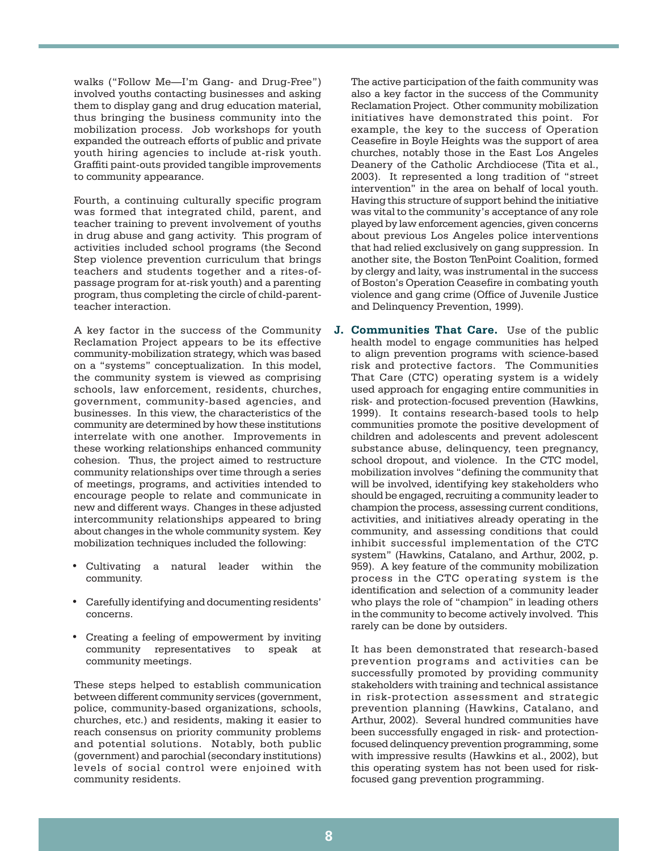walks ("Follow Me—I'm Gang- and Drug-Free") involved youths contacting businesses and asking them to display gang and drug education material, thus bringing the business community into the mobilization process. Job workshops for youth expanded the outreach efforts of public and private youth hiring agencies to include at-risk youth. Graffiti paint-outs provided tangible improvements to community appearance.

Fourth, a continuing culturally specific program was formed that integrated child, parent, and teacher training to prevent involvement of youths in drug abuse and gang activity. This program of activities included school programs (the Second Step violence prevention curriculum that brings teachers and students together and a rites-ofpassage program for at-risk youth) and a parenting program, thus completing the circle of child-parentteacher interaction.

A key factor in the success of the Community Reclamation Project appears to be its effective community-mobilization strategy, which was based on a "systems" conceptualization. In this model, the community system is viewed as comprising schools, law enforcement, residents, churches, government, community-based agencies, and businesses. In this view, the characteristics of the community are determined by how these institutions interrelate with one another. Improvements in these working relationships enhanced community cohesion. Thus, the project aimed to restructure community relationships over time through a series of meetings, programs, and activities intended to encourage people to relate and communicate in new and different ways. Changes in these adjusted intercommunity relationships appeared to bring about changes in the whole community system. Key mobilization techniques included the following:

- Cultivating a natural leader within the community.
- Carefully identifying and documenting residents' concerns.
- • Creating a feeling of empowerment by inviting community representatives to speak at community meetings.

These steps helped to establish communication between different community services (government, police, community-based organizations, schools, churches, etc.) and residents, making it easier to reach consensus on priority community problems and potential solutions. Notably, both public (government) and parochial (secondary institutions) levels of social control were enjoined with community residents.

The active participation of the faith community was also a key factor in the success of the Community Reclamation Project. Other community mobilization initiatives have demonstrated this point. For example, the key to the success of Operation Ceasefire in Boyle Heights was the support of area churches, notably those in the East Los Angeles Deanery of the Catholic Archdiocese (Tita et al., 2003). It represented a long tradition of "street intervention" in the area on behalf of local youth. Having this structure of support behind the initiative was vital to the community's acceptance of any role played by law enforcement agencies, given concerns about previous Los Angeles police interventions that had relied exclusively on gang suppression. In another site, the Boston TenPoint Coalition, formed by clergy and laity, was instrumental in the success of Boston's Operation Ceasefire in combating youth violence and gang crime (Office of Juvenile Justice and Delinquency Prevention, 1999).

**J. Communities That Care.** Use of the public health model to engage communities has helped to align prevention programs with science-based risk and protective factors. The Communities That Care (CTC) operating system is a widely used approach for engaging entire communities in risk- and protection-focused prevention (Hawkins, 1999). It contains research-based tools to help communities promote the positive development of children and adolescents and prevent adolescent substance abuse, delinquency, teen pregnancy, school dropout, and violence. In the CTC model, mobilization involves "defining the community that will be involved, identifying key stakeholders who should be engaged, recruiting a community leader to champion the process, assessing current conditions, activities, and initiatives already operating in the community, and assessing conditions that could inhibit successful implementation of the CTC system" (Hawkins, Catalano, and Arthur, 2002, p. 959). A key feature of the community mobilization process in the CTC operating system is the identification and selection of a community leader who plays the role of "champion" in leading others in the community to become actively involved. This rarely can be done by outsiders.

It has been demonstrated that research-based prevention programs and activities can be successfully promoted by providing community stakeholders with training and technical assistance in risk-protection assessment and strategic prevention planning (Hawkins, Catalano, and Arthur, 2002). Several hundred communities have been successfully engaged in risk- and protectionfocused delinquency prevention programming, some with impressive results (Hawkins et al., 2002), but this operating system has not been used for riskfocused gang prevention programming.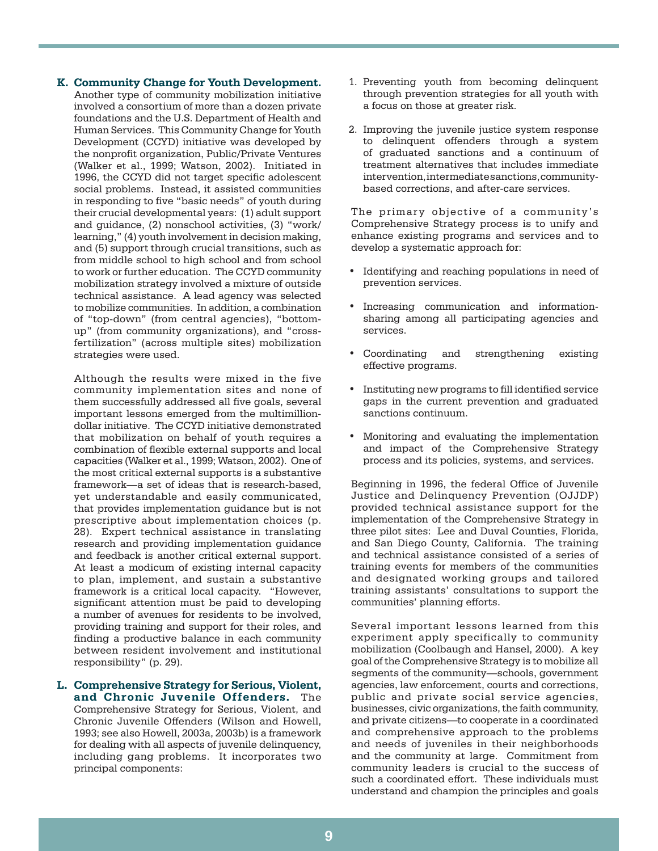#### **K. Community Change for Youth Development.**

Another type of community mobilization initiative involved a consortium of more than a dozen private foundations and the U.S. Department of Health and Human Services. This Community Change for Youth Development (CCYD) initiative was developed by the nonprofit organization, Public/Private Ventures (Walker et al., 1999; Watson, 2002). Initiated in 1996, the CCYD did not target specific adolescent social problems. Instead, it assisted communities in responding to five "basic needs" of youth during their crucial developmental years: (1) adult support and guidance, (2) nonschool activities, (3) "work/ learning," (4) youth involvement in decision making, and (5) support through crucial transitions, such as from middle school to high school and from school to work or further education. The CCYD community mobilization strategy involved a mixture of outside technical assistance. A lead agency was selected to mobilize communities. In addition, a combination of "top-down" (from central agencies), "bottomup" (from community organizations), and "crossfertilization" (across multiple sites) mobilization strategies were used.

Although the results were mixed in the five community implementation sites and none of them successfully addressed all five goals, several important lessons emerged from the multimilliondollar initiative. The CCYD initiative demonstrated that mobilization on behalf of youth requires a combination of flexible external supports and local capacities (Walker et al., 1999; Watson, 2002). One of the most critical external supports is a substantive framework—a set of ideas that is research-based, yet understandable and easily communicated, that provides implementation guidance but is not prescriptive about implementation choices (p. 28). Expert technical assistance in translating research and providing implementation guidance and feedback is another critical external support. At least a modicum of existing internal capacity to plan, implement, and sustain a substantive framework is a critical local capacity. "However, significant attention must be paid to developing a number of avenues for residents to be involved, providing training and support for their roles, and finding a productive balance in each community between resident involvement and institutional responsibility" (p. 29).

**L. Comprehensive Strategy for Serious, Violent, and Chronic Juvenile Offenders.** The Comprehensive Strategy for Serious, Violent, and Chronic Juvenile Offenders (Wilson and Howell, 1993; see also Howell, 2003a, 2003b) is a framework for dealing with all aspects of juvenile delinquency, including gang problems. It incorporates two principal components:

- 1. Preventing youth from becoming delinquent through prevention strategies for all youth with a focus on those at greater risk.
- 2. Improving the juvenile justice system response to delinquent offenders through a system of graduated sanctions and a continuum of treatment alternatives that includes immediate intervention, intermediate sanctions, communitybased corrections, and after-care services.

The primary objective of a community's Comprehensive Strategy process is to unify and enhance existing programs and services and to develop a systematic approach for:

- Identifying and reaching populations in need of prevention services.
- Increasing communication and informationsharing among all participating agencies and services.
- Coordinating and strengthening existing effective programs.
- Instituting new programs to fill identified service gaps in the current prevention and graduated sanctions continuum.
- Monitoring and evaluating the implementation and impact of the Comprehensive Strategy process and its policies, systems, and services.

Beginning in 1996, the federal Office of Juvenile Justice and Delinquency Prevention (OJJDP) provided technical assistance support for the implementation of the Comprehensive Strategy in three pilot sites: Lee and Duval Counties, Florida, and San Diego County, California. The training and technical assistance consisted of a series of training events for members of the communities and designated working groups and tailored training assistants' consultations to support the communities' planning efforts.

Several important lessons learned from this experiment apply specifically to community mobilization (Coolbaugh and Hansel, 2000). A key goal of the Comprehensive Strategy is to mobilize all segments of the community—schools, government agencies, law enforcement, courts and corrections, public and private social service agencies, businesses, civic organizations, the faith community, and private citizens—to cooperate in a coordinated and comprehensive approach to the problems and needs of juveniles in their neighborhoods and the community at large. Commitment from community leaders is crucial to the success of such a coordinated effort. These individuals must understand and champion the principles and goals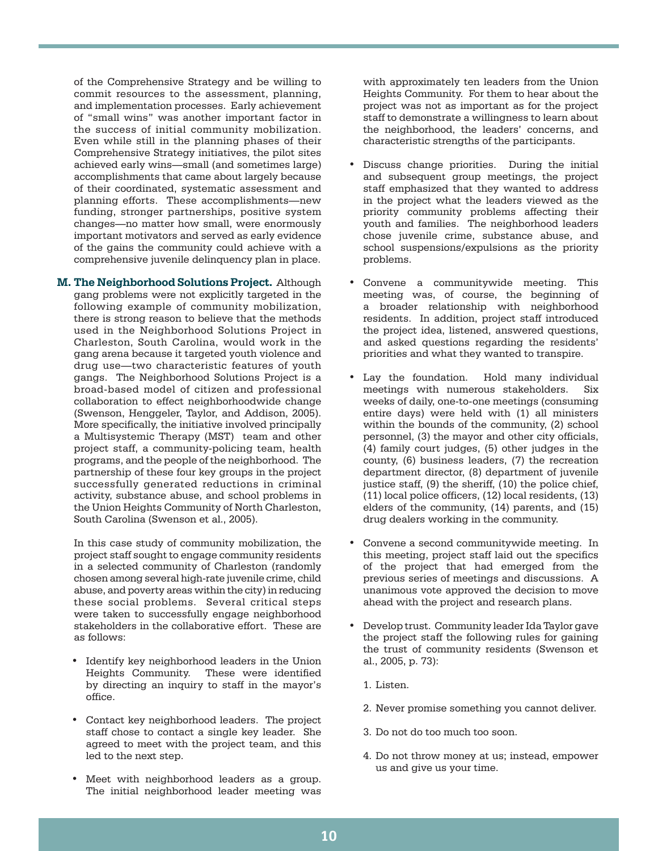of the Comprehensive Strategy and be willing to commit resources to the assessment, planning, and implementation processes. Early achievement of "small wins" was another important factor in the success of initial community mobilization. Even while still in the planning phases of their Comprehensive Strategy initiatives, the pilot sites achieved early wins—small (and sometimes large) accomplishments that came about largely because of their coordinated, systematic assessment and planning efforts. These accomplishments—new funding, stronger partnerships, positive system changes—no matter how small, were enormously important motivators and served as early evidence of the gains the community could achieve with a comprehensive juvenile delinquency plan in place.

**M. The Neighborhood Solutions Project.** Although gang problems were not explicitly targeted in the following example of community mobilization, there is strong reason to believe that the methods used in the Neighborhood Solutions Project in Charleston, South Carolina, would work in the gang arena because it targeted youth violence and drug use—two characteristic features of youth gangs. The Neighborhood Solutions Project is a broad-based model of citizen and professional collaboration to effect neighborhoodwide change (Swenson, Henggeler, Taylor, and Addison, 2005). More specifically, the initiative involved principally a Multisystemic Therapy (MST) team and other project staff, a community-policing team, health programs, and the people of the neighborhood. The partnership of these four key groups in the project successfully generated reductions in criminal activity, substance abuse, and school problems in the Union Heights Community of North Charleston, South Carolina (Swenson et al., 2005).

In this case study of community mobilization, the project staff sought to engage community residents in a selected community of Charleston (randomly chosen among several high-rate juvenile crime, child abuse, and poverty areas within the city) in reducing these social problems. Several critical steps were taken to successfully engage neighborhood stakeholders in the collaborative effort. These are as follows:

- Identify key neighborhood leaders in the Union Heights Community. These were identified by directing an inquiry to staff in the mayor's office.
- • Contact key neighborhood leaders. The project staff chose to contact a single key leader. She agreed to meet with the project team, and this led to the next step.
- • Meet with neighborhood leaders as a group. The initial neighborhood leader meeting was

with approximately ten leaders from the Union Heights Community. For them to hear about the project was not as important as for the project staff to demonstrate a willingness to learn about the neighborhood, the leaders' concerns, and characteristic strengths of the participants.

- Discuss change priorities. During the initial and subsequent group meetings, the project staff emphasized that they wanted to address in the project what the leaders viewed as the priority community problems affecting their youth and families. The neighborhood leaders chose juvenile crime, substance abuse, and school suspensions/expulsions as the priority problems.
- Convene a communitywide meeting. This meeting was, of course, the beginning of a broader relationship with neighborhood residents. In addition, project staff introduced the project idea, listened, answered questions, and asked questions regarding the residents' priorities and what they wanted to transpire.
- Lay the foundation. Hold many individual meetings with numerous stakeholders. Six weeks of daily, one-to-one meetings (consuming entire days) were held with (1) all ministers within the bounds of the community, (2) school personnel, (3) the mayor and other city officials, (4) family court judges, (5) other judges in the county, (6) business leaders, (7) the recreation department director, (8) department of juvenile justice staff, (9) the sheriff, (10) the police chief, (11) local police officers, (12) local residents, (13) elders of the community, (14) parents, and (15) drug dealers working in the community.
- Convene a second communitywide meeting. In this meeting, project staff laid out the specifics of the project that had emerged from the previous series of meetings and discussions. A unanimous vote approved the decision to move ahead with the project and research plans.
- Develop trust. Community leader Ida Taylor gave the project staff the following rules for gaining the trust of community residents (Swenson et al., 2005, p. 73):
	- 1. Listen.
	- 2. Never promise something you cannot deliver.
	- 3. Do not do too much too soon.
	- 4. Do not throw money at us; instead, empower us and give us your time.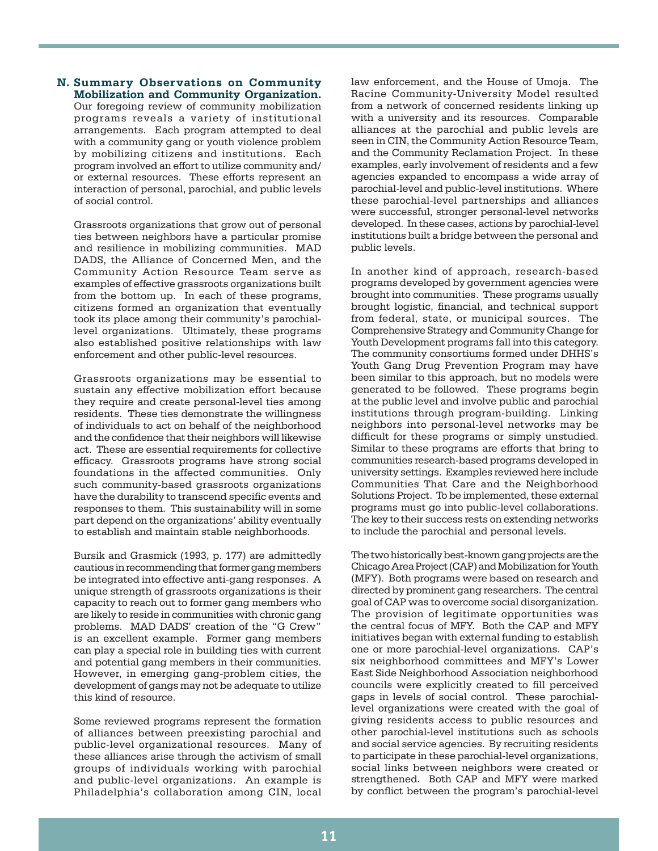#### **N. Summary Observations on Community Mobilization and Community Organization.**

Our foregoing review of community mobilization programs reveals a variety of institutional arrangements. Each program attempted to deal with a community gang or youth violence problem by mobilizing citizens and institutions. Each program involved an effort to utilize community and/ or external resources. These efforts represent an interaction of personal, parochial, and public levels of social control.

Grassroots organizations that grow out of personal ties between neighbors have a particular promise and resilience in mobilizing communities. MAD DADS, the Alliance of Concerned Men, and the Community Action Resource Team serve as examples of effective grassroots organizations built from the bottom up. In each of these programs, citizens formed an organization that eventually took its place among their community's parochiallevel organizations. Ultimately, these programs also established positive relationships with law enforcement and other public-level resources.

Grassroots organizations may be essential to sustain any effective mobilization effort because they require and create personal-level ties among residents. These ties demonstrate the willingness of individuals to act on behalf of the neighborhood and the confidence that their neighbors will likewise act. These are essential requirements for collective efficacy. Grassroots programs have strong social foundations in the affected communities. Only such community-based grassroots organizations have the durability to transcend specific events and responses to them. This sustainability will in some part depend on the organizations' ability eventually to establish and maintain stable neighborhoods.

Bursik and Grasmick (1993, p. 177) are admittedly cautious in recommending that former gang members be integrated into effective anti-gang responses. A unique strength of grassroots organizations is their capacity to reach out to former gang members who are likely to reside in communities with chronic gang problems. MAD DADS' creation of the "G Crew" is an excellent example. Former gang members can play a special role in building ties with current and potential gang members in their communities. However, in emerging gang-problem cities, the development of gangs may not be adequate to utilize this kind of resource.

Some reviewed programs represent the formation of alliances between preexisting parochial and public-level organizational resources. Many of these alliances arise through the activism of small groups of individuals working with parochial and public-level organizations. An example is Philadelphia's collaboration among CIN, local law enforcement, and the House of Umoja. The Racine Community-University Model resulted from a network of concerned residents linking up with a university and its resources. Comparable alliances at the parochial and public levels are seen in CIN, the Community Action Resource Team, and the Community Reclamation Project. In these examples, early involvement of residents and a few agencies expanded to encompass a wide array of parochial-level and public-level institutions. Where these parochial-level partnerships and alliances were successful, stronger personal-level networks developed. In these cases, actions by parochial-level institutions built a bridge between the personal and public levels.

In another kind of approach, research-based programs developed by government agencies were brought into communities. These programs usually brought logistic, financial, and technical support from federal, state, or municipal sources. The Comprehensive Strategy and Community Change for Youth Development programs fall into this category. The community consortiums formed under DHHS's Youth Gang Drug Prevention Program may have been similar to this approach, but no models were generated to be followed. These programs begin at the public level and involve public and parochial institutions through program-building. Linking neighbors into personal-level networks may be difficult for these programs or simply unstudied. Similar to these programs are efforts that bring to communities research-based programs developed in university settings. Examples reviewed here include Communities That Care and the Neighborhood Solutions Project. To be implemented, these external programs must go into public-level collaborations. The key to their success rests on extending networks to include the parochial and personal levels.

The two historically best-known gang projects are the Chicago Area Project (CAP) and Mobilization for Youth (MFY). Both programs were based on research and directed by prominent gang researchers. The central goal of CAP was to overcome social disorganization. The provision of legitimate opportunities was the central focus of MFY. Both the CAP and MFY initiatives began with external funding to establish one or more parochial-level organizations. CAP's six neighborhood committees and MFY's Lower East Side Neighborhood Association neighborhood councils were explicitly created to fill perceived gaps in levels of social control. These parochiallevel organizations were created with the goal of giving residents access to public resources and other parochial-level institutions such as schools and social service agencies. By recruiting residents to participate in these parochial-level organizations, social links between neighbors were created or strengthened. Both CAP and MFY were marked by conflict between the program's parochial-level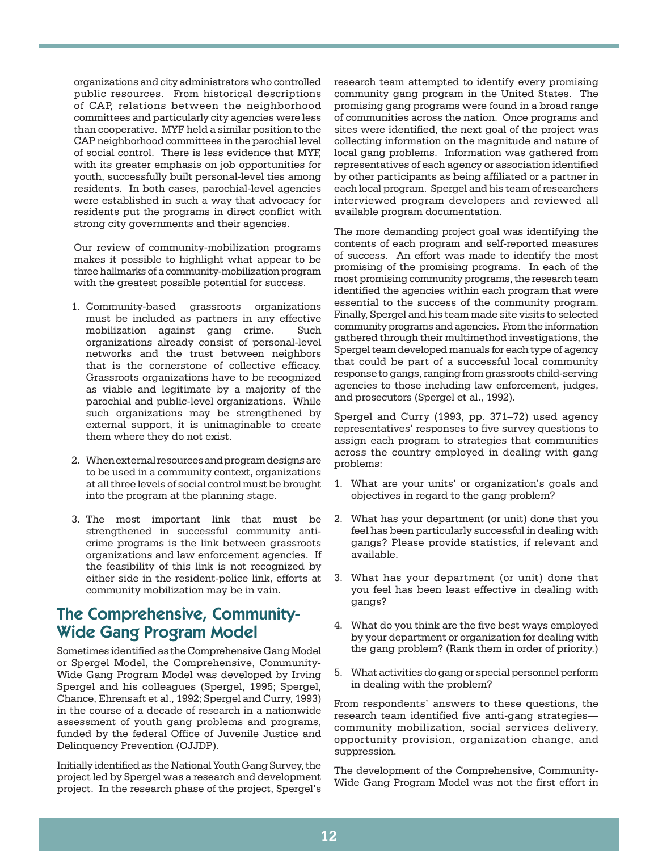organizations and city administrators who controlled public resources. From historical descriptions of CAP, relations between the neighborhood committees and particularly city agencies were less than cooperative. MYF held a similar position to the CAP neighborhood committees in the parochial level of social control. There is less evidence that MYF, with its greater emphasis on job opportunities for youth, successfully built personal-level ties among residents. In both cases, parochial-level agencies were established in such a way that advocacy for residents put the programs in direct conflict with strong city governments and their agencies.

Our review of community-mobilization programs makes it possible to highlight what appear to be three hallmarks of a community-mobilization program with the greatest possible potential for success.

- 1. Community-based grassroots organizations must be included as partners in any effective mobilization against gang crime. Such organizations already consist of personal-level networks and the trust between neighbors that is the cornerstone of collective efficacy. Grassroots organizations have to be recognized as viable and legitimate by a majority of the parochial and public-level organizations. While such organizations may be strengthened by external support, it is unimaginable to create them where they do not exist.
- 2. When external resources and program designs are to be used in a community context, organizations at all three levels of social control must be brought into the program at the planning stage.
- 3. The most important link that must be strengthened in successful community anticrime programs is the link between grassroots organizations and law enforcement agencies. If the feasibility of this link is not recognized by either side in the resident-police link, efforts at community mobilization may be in vain.

## The Comprehensive, Community-Wide Gang Program Model

Sometimes identified as the Comprehensive Gang Model or Spergel Model, the Comprehensive, Community-Wide Gang Program Model was developed by Irving Spergel and his colleagues (Spergel, 1995; Spergel, Chance, Ehrensaft et al., 1992; Spergel and Curry, 1993) in the course of a decade of research in a nationwide assessment of youth gang problems and programs, funded by the federal Office of Juvenile Justice and Delinquency Prevention (OJJDP).

Initially identified as the National Youth Gang Survey, the project led by Spergel was a research and development project. In the research phase of the project, Spergel's

research team attempted to identify every promising community gang program in the United States. The promising gang programs were found in a broad range of communities across the nation. Once programs and sites were identified, the next goal of the project was collecting information on the magnitude and nature of local gang problems. Information was gathered from representatives of each agency or association identified by other participants as being affiliated or a partner in each local program. Spergel and his team of researchers interviewed program developers and reviewed all available program documentation.

The more demanding project goal was identifying the contents of each program and self-reported measures of success. An effort was made to identify the most promising of the promising programs. In each of the most promising community programs, the research team identified the agencies within each program that were essential to the success of the community program. Finally, Spergel and his team made site visits to selected community programs and agencies. From the information gathered through their multimethod investigations, the Spergel team developed manuals for each type of agency that could be part of a successful local community response to gangs, ranging from grassroots child-serving agencies to those including law enforcement, judges, and prosecutors (Spergel et al., 1992).

Spergel and Curry (1993, pp. 371–72) used agency representatives' responses to five survey questions to assign each program to strategies that communities across the country employed in dealing with gang problems:

- 1. What are your units' or organization's goals and objectives in regard to the gang problem?
- 2. What has your department (or unit) done that you feel has been particularly successful in dealing with gangs? Please provide statistics, if relevant and available.
- 3. What has your department (or unit) done that you feel has been least effective in dealing with gangs?
- 4. What do you think are the five best ways employed by your department or organization for dealing with the gang problem? (Rank them in order of priority.)
- 5. What activities do gang or special personnel perform in dealing with the problem?

From respondents' answers to these questions, the research team identified five anti-gang strategies community mobilization, social services delivery, opportunity provision, organization change, and suppression.

The development of the Comprehensive, Community-Wide Gang Program Model was not the first effort in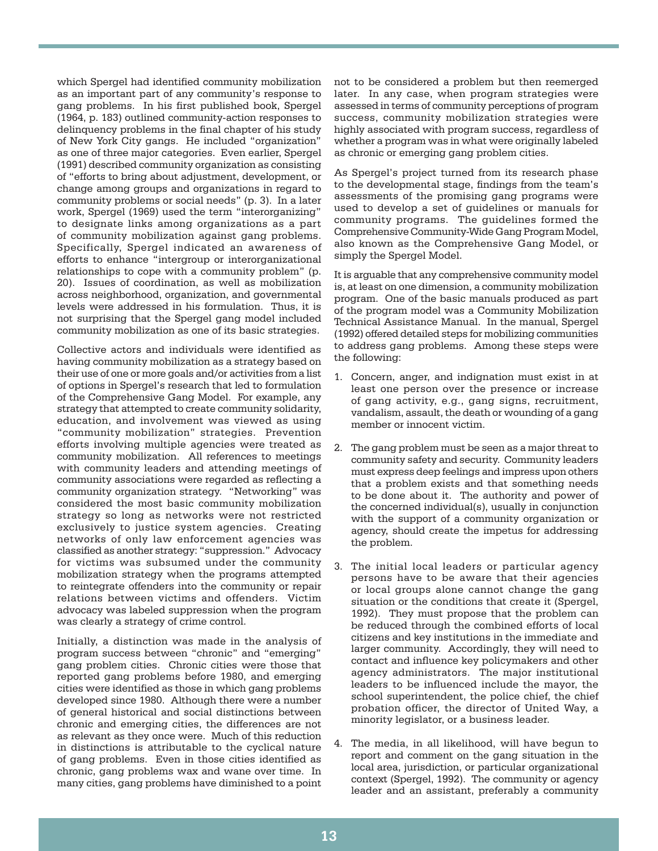which Spergel had identified community mobilization as an important part of any community's response to gang problems. In his first published book, Spergel (1964, p. 183) outlined community-action responses to delinquency problems in the final chapter of his study of New York City gangs. He included "organization" as one of three major categories. Even earlier, Spergel (1991) described community organization as consisting of "efforts to bring about adjustment, development, or change among groups and organizations in regard to community problems or social needs" (p. 3). In a later work, Spergel (1969) used the term "interorganizing" to designate links among organizations as a part of community mobilization against gang problems. Specifically, Spergel indicated an awareness of efforts to enhance "intergroup or interorganizational relationships to cope with a community problem" (p. 20). Issues of coordination, as well as mobilization across neighborhood, organization, and governmental levels were addressed in his formulation. Thus, it is not surprising that the Spergel gang model included community mobilization as one of its basic strategies.

Collective actors and individuals were identified as having community mobilization as a strategy based on their use of one or more goals and/or activities from a list of options in Spergel's research that led to formulation of the Comprehensive Gang Model. For example, any strategy that attempted to create community solidarity, education, and involvement was viewed as using "community mobilization" strategies. Prevention efforts involving multiple agencies were treated as community mobilization. All references to meetings with community leaders and attending meetings of community associations were regarded as reflecting a community organization strategy. "Networking" was considered the most basic community mobilization strategy so long as networks were not restricted exclusively to justice system agencies. Creating networks of only law enforcement agencies was classified as another strategy: "suppression." Advocacy for victims was subsumed under the community mobilization strategy when the programs attempted to reintegrate offenders into the community or repair relations between victims and offenders. Victim advocacy was labeled suppression when the program was clearly a strategy of crime control.

Initially, a distinction was made in the analysis of program success between "chronic" and "emerging" gang problem cities. Chronic cities were those that reported gang problems before 1980, and emerging cities were identified as those in which gang problems developed since 1980. Although there were a number of general historical and social distinctions between chronic and emerging cities, the differences are not as relevant as they once were. Much of this reduction in distinctions is attributable to the cyclical nature of gang problems. Even in those cities identified as chronic, gang problems wax and wane over time. In many cities, gang problems have diminished to a point

not to be considered a problem but then reemerged later. In any case, when program strategies were assessed in terms of community perceptions of program success, community mobilization strategies were highly associated with program success, regardless of whether a program was in what were originally labeled as chronic or emerging gang problem cities.

As Spergel's project turned from its research phase to the developmental stage, findings from the team's assessments of the promising gang programs were used to develop a set of guidelines or manuals for community programs. The guidelines formed the Comprehensive Community-Wide Gang Program Model, also known as the Comprehensive Gang Model, or simply the Spergel Model.

It is arguable that any comprehensive community model is, at least on one dimension, a community mobilization program. One of the basic manuals produced as part of the program model was a Community Mobilization Technical Assistance Manual. In the manual, Spergel (1992) offered detailed steps for mobilizing communities to address gang problems. Among these steps were the following:

- 1. Concern, anger, and indignation must exist in at least one person over the presence or increase of gang activity, e.g., gang signs, recruitment, vandalism, assault, the death or wounding of a gang member or innocent victim.
- 2. The gang problem must be seen as a major threat to community safety and security. Community leaders must express deep feelings and impress upon others that a problem exists and that something needs to be done about it. The authority and power of the concerned individual(s), usually in conjunction with the support of a community organization or agency, should create the impetus for addressing the problem.
- 3. The initial local leaders or particular agency persons have to be aware that their agencies or local groups alone cannot change the gang situation or the conditions that create it (Spergel, 1992). They must propose that the problem can be reduced through the combined efforts of local citizens and key institutions in the immediate and larger community. Accordingly, they will need to contact and influence key policymakers and other agency administrators. The major institutional leaders to be influenced include the mayor, the school superintendent, the police chief, the chief probation officer, the director of United Way, a minority legislator, or a business leader.
- 4. The media, in all likelihood, will have begun to report and comment on the gang situation in the local area, jurisdiction, or particular organizational context (Spergel, 1992). The community or agency leader and an assistant, preferably a community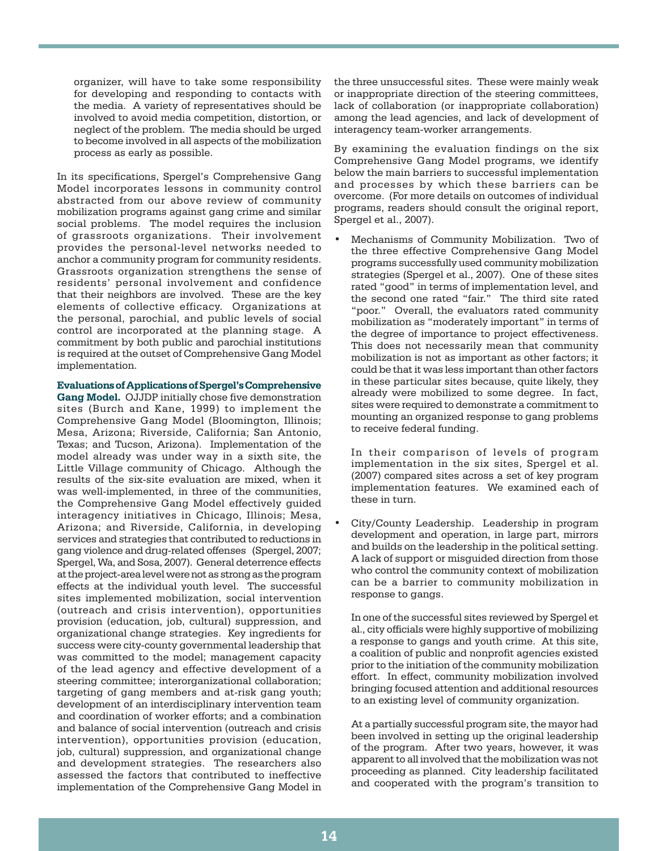organizer, will have to take some responsibility for developing and responding to contacts with the media. A variety of representatives should be involved to avoid media competition, distortion, or neglect of the problem. The media should be urged to become involved in all aspects of the mobilization process as early as possible.

In its specifications, Spergel's Comprehensive Gang Model incorporates lessons in community control abstracted from our above review of community mobilization programs against gang crime and similar social problems. The model requires the inclusion of grassroots organizations. Their involvement provides the personal-level networks needed to anchor a community program for community residents. Grassroots organization strengthens the sense of residents' personal involvement and confidence that their neighbors are involved. These are the key elements of collective efficacy. Organizations at the personal, parochial, and public levels of social control are incorporated at the planning stage. A commitment by both public and parochial institutions is required at the outset of Comprehensive Gang Model implementation.

**Evaluations of Applications of Spergel's Comprehensive Gang Model.** OJJDP initially chose five demonstration sites (Burch and Kane, 1999) to implement the Comprehensive Gang Model (Bloomington, Illinois; Mesa, Arizona; Riverside, California; San Antonio, Texas; and Tucson, Arizona). Implementation of the model already was under way in a sixth site, the Little Village community of Chicago. Although the results of the six-site evaluation are mixed, when it was well-implemented, in three of the communities, the Comprehensive Gang Model effectively guided interagency initiatives in Chicago, Illinois; Mesa, Arizona; and Riverside, California, in developing services and strategies that contributed to reductions in gang violence and drug-related offenses (Spergel, 2007; Spergel, Wa, and Sosa, 2007). General deterrence effects at the project-area level were not as strong as the program effects at the individual youth level. The successful sites implemented mobilization, social intervention (outreach and crisis intervention), opportunities provision (education, job, cultural) suppression, and organizational change strategies. Key ingredients for success were city-county governmental leadership that was committed to the model; management capacity of the lead agency and effective development of a steering committee; interorganizational collaboration; targeting of gang members and at-risk gang youth; development of an interdisciplinary intervention team and coordination of worker efforts; and a combination and balance of social intervention (outreach and crisis intervention), opportunities provision (education, job, cultural) suppression, and organizational change and development strategies. The researchers also assessed the factors that contributed to ineffective implementation of the Comprehensive Gang Model in

the three unsuccessful sites. These were mainly weak or inappropriate direction of the steering committees, lack of collaboration (or inappropriate collaboration) among the lead agencies, and lack of development of interagency team-worker arrangements.

By examining the evaluation findings on the six Comprehensive Gang Model programs, we identify below the main barriers to successful implementation and processes by which these barriers can be overcome. (For more details on outcomes of individual programs, readers should consult the original report, Spergel et al., 2007).

Mechanisms of Community Mobilization. Two of the three effective Comprehensive Gang Model programs successfully used community mobilization strategies (Spergel et al., 2007). One of these sites rated "good" in terms of implementation level, and the second one rated "fair." The third site rated "poor." Overall, the evaluators rated community mobilization as "moderately important" in terms of the degree of importance to project effectiveness. This does not necessarily mean that community mobilization is not as important as other factors; it could be that it was less important than other factors in these particular sites because, quite likely, they already were mobilized to some degree. In fact, sites were required to demonstrate a commitment to mounting an organized response to gang problems to receive federal funding.

In their comparison of levels of program implementation in the six sites, Spergel et al. (2007) compared sites across a set of key program implementation features. We examined each of these in turn.

City/County Leadership. Leadership in program development and operation, in large part, mirrors and builds on the leadership in the political setting. A lack of support or misguided direction from those who control the community context of mobilization can be a barrier to community mobilization in response to gangs.

In one of the successful sites reviewed by Spergel et al., city officials were highly supportive of mobilizing a response to gangs and youth crime. At this site, a coalition of public and nonprofit agencies existed prior to the initiation of the community mobilization effort. In effect, community mobilization involved bringing focused attention and additional resources to an existing level of community organization.

At a partially successful program site, the mayor had been involved in setting up the original leadership of the program. After two years, however, it was apparent to all involved that the mobilization was not proceeding as planned. City leadership facilitated and cooperated with the program's transition to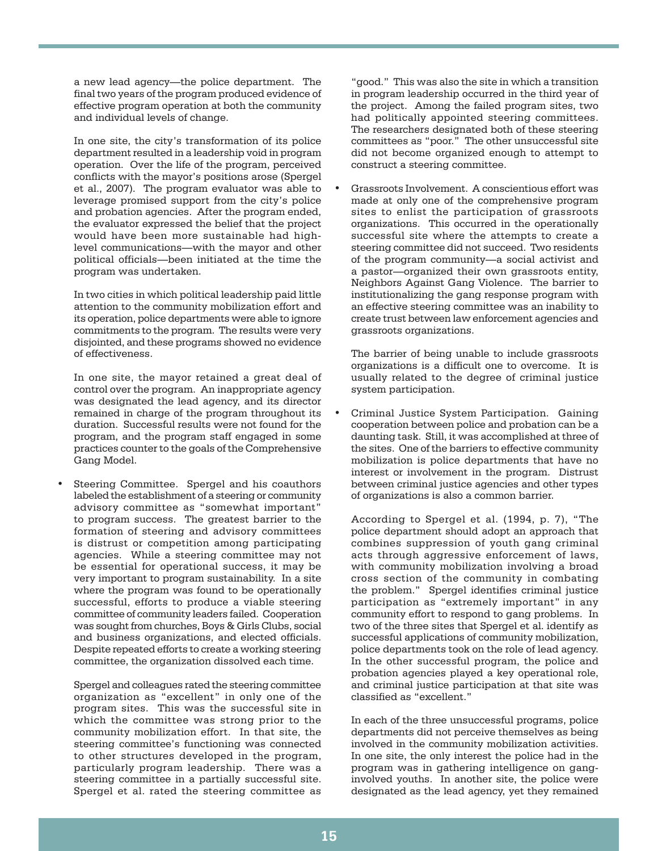a new lead agency—the police department. The final two years of the program produced evidence of effective program operation at both the community and individual levels of change.

In one site, the city's transformation of its police department resulted in a leadership void in program operation. Over the life of the program, perceived conflicts with the mayor's positions arose (Spergel et al., 2007). The program evaluator was able to leverage promised support from the city's police and probation agencies. After the program ended, the evaluator expressed the belief that the project would have been more sustainable had highlevel communications—with the mayor and other political officials—been initiated at the time the program was undertaken.

In two cities in which political leadership paid little attention to the community mobilization effort and its operation, police departments were able to ignore commitments to the program. The results were very disjointed, and these programs showed no evidence of effectiveness.

In one site, the mayor retained a great deal of control over the program. An inappropriate agency was designated the lead agency, and its director remained in charge of the program throughout its duration. Successful results were not found for the program, and the program staff engaged in some practices counter to the goals of the Comprehensive Gang Model.

Steering Committee. Spergel and his coauthors labeled the establishment of a steering or community advisory committee as "somewhat important" to program success. The greatest barrier to the formation of steering and advisory committees is distrust or competition among participating agencies. While a steering committee may not be essential for operational success, it may be very important to program sustainability. In a site where the program was found to be operationally successful, efforts to produce a viable steering committee of community leaders failed. Cooperation was sought from churches, Boys & Girls Clubs, social and business organizations, and elected officials. Despite repeated efforts to create a working steering committee, the organization dissolved each time.

Spergel and colleagues rated the steering committee organization as "excellent" in only one of the program sites. This was the successful site in which the committee was strong prior to the community mobilization effort. In that site, the steering committee's functioning was connected to other structures developed in the program, particularly program leadership. There was a steering committee in a partially successful site. Spergel et al. rated the steering committee as

"good." This was also the site in which a transition in program leadership occurred in the third year of the project. Among the failed program sites, two had politically appointed steering committees. The researchers designated both of these steering committees as "poor." The other unsuccessful site did not become organized enough to attempt to construct a steering committee.

Grassroots Involvement. A conscientious effort was made at only one of the comprehensive program sites to enlist the participation of grassroots organizations. This occurred in the operationally successful site where the attempts to create a steering committee did not succeed. Two residents of the program community—a social activist and a pastor—organized their own grassroots entity, Neighbors Against Gang Violence. The barrier to institutionalizing the gang response program with an effective steering committee was an inability to create trust between law enforcement agencies and grassroots organizations.

The barrier of being unable to include grassroots organizations is a difficult one to overcome. It is usually related to the degree of criminal justice system participation.

Criminal Justice System Participation. Gaining cooperation between police and probation can be a daunting task. Still, it was accomplished at three of the sites. One of the barriers to effective community mobilization is police departments that have no interest or involvement in the program. Distrust between criminal justice agencies and other types of organizations is also a common barrier.

According to Spergel et al. (1994, p. 7), "The police department should adopt an approach that combines suppression of youth gang criminal acts through aggressive enforcement of laws, with community mobilization involving a broad cross section of the community in combating the problem." Spergel identifies criminal justice participation as "extremely important" in any community effort to respond to gang problems. In two of the three sites that Spergel et al. identify as successful applications of community mobilization, police departments took on the role of lead agency. In the other successful program, the police and probation agencies played a key operational role, and criminal justice participation at that site was classified as "excellent."

In each of the three unsuccessful programs, police departments did not perceive themselves as being involved in the community mobilization activities. In one site, the only interest the police had in the program was in gathering intelligence on ganginvolved youths. In another site, the police were designated as the lead agency, yet they remained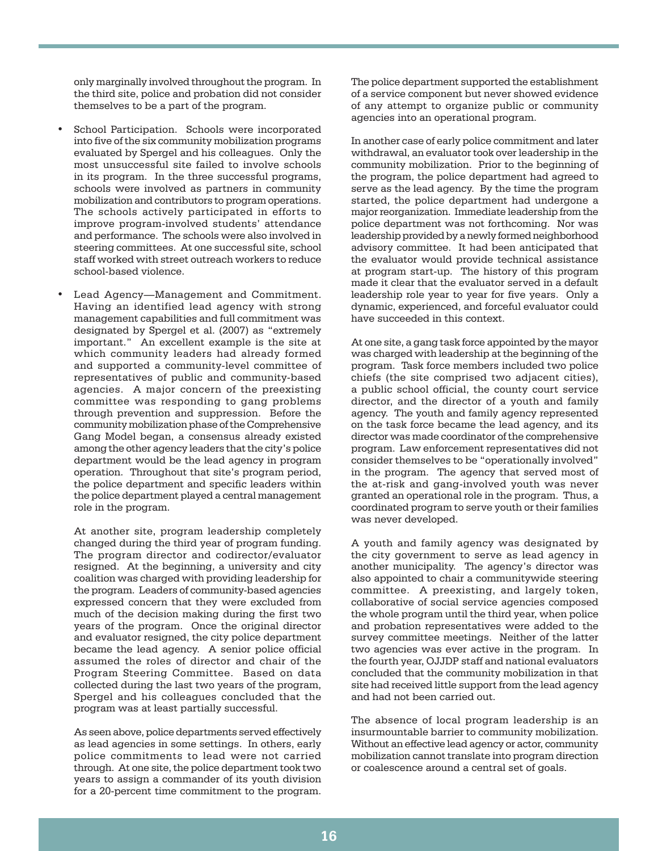only marginally involved throughout the program. In the third site, police and probation did not consider themselves to be a part of the program.

- School Participation. Schools were incorporated into five of the six community mobilization programs evaluated by Spergel and his colleagues. Only the most unsuccessful site failed to involve schools in its program. In the three successful programs, schools were involved as partners in community mobilization and contributors to program operations. The schools actively participated in efforts to improve program-involved students' attendance and performance. The schools were also involved in steering committees. At one successful site, school staff worked with street outreach workers to reduce school-based violence.
- Lead Agency-Management and Commitment. Having an identified lead agency with strong management capabilities and full commitment was designated by Spergel et al. (2007) as "extremely important." An excellent example is the site at which community leaders had already formed and supported a community-level committee of representatives of public and community-based agencies. A major concern of the preexisting committee was responding to gang problems through prevention and suppression. Before the community mobilization phase of the Comprehensive Gang Model began, a consensus already existed among the other agency leaders that the city's police department would be the lead agency in program operation. Throughout that site's program period, the police department and specific leaders within the police department played a central management role in the program.

At another site, program leadership completely changed during the third year of program funding. The program director and codirector/evaluator resigned. At the beginning, a university and city coalition was charged with providing leadership for the program. Leaders of community-based agencies expressed concern that they were excluded from much of the decision making during the first two years of the program. Once the original director and evaluator resigned, the city police department became the lead agency. A senior police official assumed the roles of director and chair of the Program Steering Committee. Based on data collected during the last two years of the program, Spergel and his colleagues concluded that the program was at least partially successful.

As seen above, police departments served effectively as lead agencies in some settings. In others, early police commitments to lead were not carried through. At one site, the police department took two years to assign a commander of its youth division for a 20-percent time commitment to the program.

The police department supported the establishment of a service component but never showed evidence of any attempt to organize public or community agencies into an operational program.

In another case of early police commitment and later withdrawal, an evaluator took over leadership in the community mobilization. Prior to the beginning of the program, the police department had agreed to serve as the lead agency. By the time the program started, the police department had undergone a major reorganization. Immediate leadership from the police department was not forthcoming. Nor was leadership provided by a newly formed neighborhood advisory committee. It had been anticipated that the evaluator would provide technical assistance at program start-up. The history of this program made it clear that the evaluator served in a default leadership role year to year for five years. Only a dynamic, experienced, and forceful evaluator could have succeeded in this context.

At one site, a gang task force appointed by the mayor was charged with leadership at the beginning of the program. Task force members included two police chiefs (the site comprised two adjacent cities), a public school official, the county court service director, and the director of a youth and family agency. The youth and family agency represented on the task force became the lead agency, and its director was made coordinator of the comprehensive program. Law enforcement representatives did not consider themselves to be "operationally involved" in the program. The agency that served most of the at-risk and gang-involved youth was never granted an operational role in the program. Thus, a coordinated program to serve youth or their families was never developed.

A youth and family agency was designated by the city government to serve as lead agency in another municipality. The agency's director was also appointed to chair a communitywide steering committee. A preexisting, and largely token, collaborative of social service agencies composed the whole program until the third year, when police and probation representatives were added to the survey committee meetings. Neither of the latter two agencies was ever active in the program. In the fourth year, OJJDP staff and national evaluators concluded that the community mobilization in that site had received little support from the lead agency and had not been carried out.

The absence of local program leadership is an insurmountable barrier to community mobilization. Without an effective lead agency or actor, community mobilization cannot translate into program direction or coalescence around a central set of goals.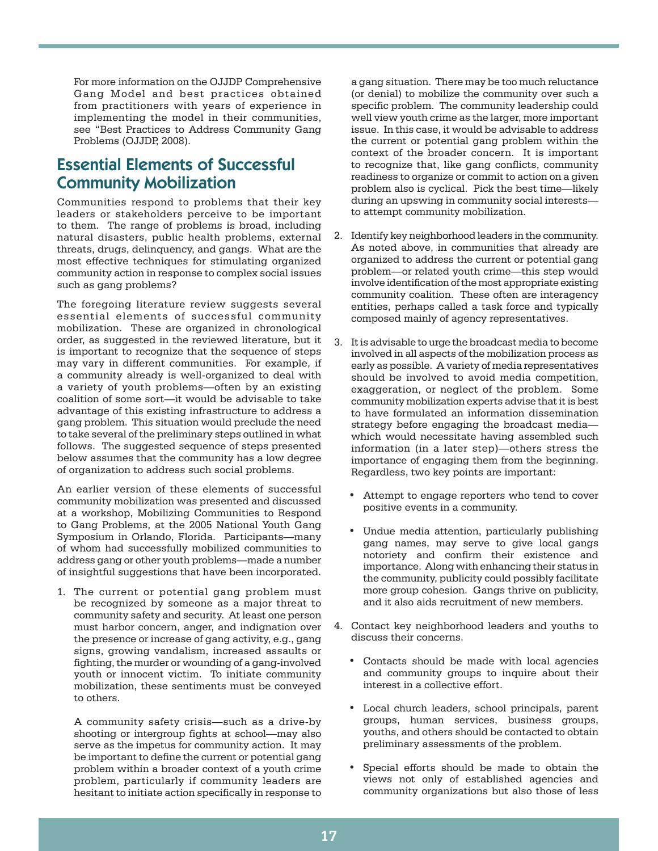For more information on the OJJDP Comprehensive Gang Model and best practices obtained from practitioners with years of experience in implementing the model in their communities, see "Best Practices to Address Community Gang Problems (OJJDP, 2008).

## Essential Elements of Successful Community Mobilization

Communities respond to problems that their key leaders or stakeholders perceive to be important to them. The range of problems is broad, including natural disasters, public health problems, external threats, drugs, delinquency, and gangs. What are the most effective techniques for stimulating organized community action in response to complex social issues such as gang problems?

The foregoing literature review suggests several essential elements of successful community mobilization. These are organized in chronological order, as suggested in the reviewed literature, but it is important to recognize that the sequence of steps may vary in different communities. For example, if a community already is well-organized to deal with a variety of youth problems—often by an existing coalition of some sort—it would be advisable to take advantage of this existing infrastructure to address a gang problem. This situation would preclude the need to take several of the preliminary steps outlined in what follows. The suggested sequence of steps presented below assumes that the community has a low degree of organization to address such social problems.

An earlier version of these elements of successful community mobilization was presented and discussed at a workshop, Mobilizing Communities to Respond to Gang Problems, at the 2005 National Youth Gang Symposium in Orlando, Florida. Participants—many of whom had successfully mobilized communities to address gang or other youth problems—made a number of insightful suggestions that have been incorporated.

1. The current or potential gang problem must be recognized by someone as a major threat to community safety and security. At least one person must harbor concern, anger, and indignation over the presence or increase of gang activity, e.g., gang signs, growing vandalism, increased assaults or fighting, the murder or wounding of a gang-involved youth or innocent victim. To initiate community mobilization, these sentiments must be conveyed to others.

A community safety crisis—such as a drive-by shooting or intergroup fights at school—may also serve as the impetus for community action. It may be important to define the current or potential gang problem within a broader context of a youth crime problem, particularly if community leaders are hesitant to initiate action specifically in response to

a gang situation. There may be too much reluctance (or denial) to mobilize the community over such a specific problem. The community leadership could well view youth crime as the larger, more important issue. In this case, it would be advisable to address the current or potential gang problem within the context of the broader concern. It is important to recognize that, like gang conflicts, community readiness to organize or commit to action on a given problem also is cyclical. Pick the best time—likely during an upswing in community social interests to attempt community mobilization.

- 2. Identify key neighborhood leaders in the community. As noted above, in communities that already are organized to address the current or potential gang problem—or related youth crime—this step would involve identification of the most appropriate existing community coalition. These often are interagency entities, perhaps called a task force and typically composed mainly of agency representatives.
- 3. It is advisable to urge the broadcast media to become involved in all aspects of the mobilization process as early as possible. A variety of media representatives should be involved to avoid media competition, exaggeration, or neglect of the problem. Some community mobilization experts advise that it is best to have formulated an information dissemination strategy before engaging the broadcast media which would necessitate having assembled such information (in a later step)—others stress the importance of engaging them from the beginning. Regardless, two key points are important:
	- • Attempt to engage reporters who tend to cover positive events in a community.
	- Undue media attention, particularly publishing gang names, may serve to give local gangs notoriety and confirm their existence and importance. Along with enhancing their status in the community, publicity could possibly facilitate more group cohesion. Gangs thrive on publicity, and it also aids recruitment of new members.
- 4. Contact key neighborhood leaders and youths to discuss their concerns.
	- Contacts should be made with local agencies and community groups to inquire about their interest in a collective effort.
	- Local church leaders, school principals, parent groups, human services, business groups, youths, and others should be contacted to obtain preliminary assessments of the problem.
	- Special efforts should be made to obtain the views not only of established agencies and community organizations but also those of less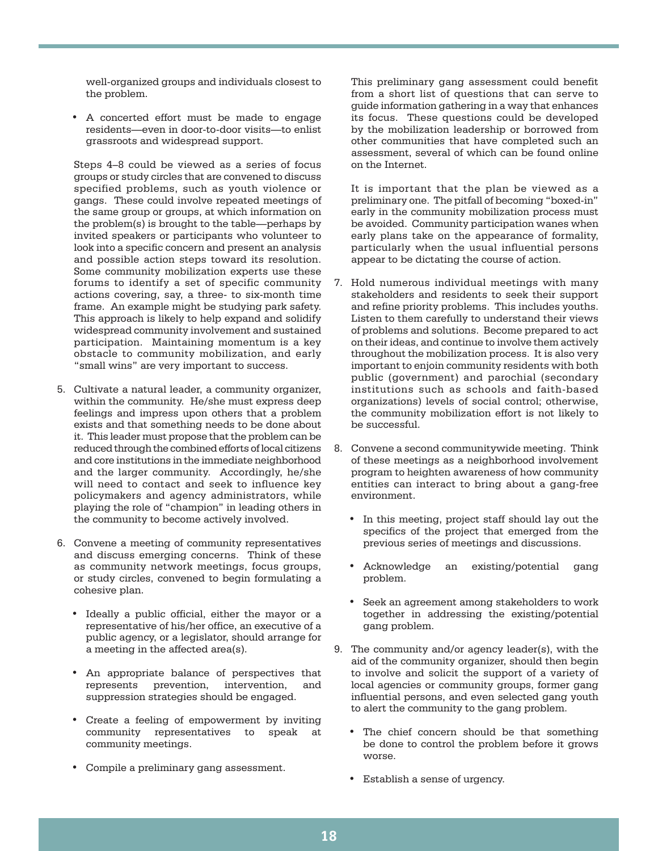well-organized groups and individuals closest to the problem.

• A concerted effort must be made to engage residents—even in door-to-door visits—to enlist grassroots and widespread support.

Steps 4–8 could be viewed as a series of focus groups or study circles that are convened to discuss specified problems, such as youth violence or gangs. These could involve repeated meetings of the same group or groups, at which information on the problem(s) is brought to the table—perhaps by invited speakers or participants who volunteer to look into a specific concern and present an analysis and possible action steps toward its resolution. Some community mobilization experts use these forums to identify a set of specific community actions covering, say, a three- to six-month time frame. An example might be studying park safety. This approach is likely to help expand and solidify widespread community involvement and sustained participation. Maintaining momentum is a key obstacle to community mobilization, and early "small wins" are very important to success.

- 5. Cultivate a natural leader, a community organizer, within the community. He/she must express deep feelings and impress upon others that a problem exists and that something needs to be done about it. This leader must propose that the problem can be reduced through the combined efforts of local citizens and core institutions in the immediate neighborhood and the larger community. Accordingly, he/she will need to contact and seek to influence key policymakers and agency administrators, while playing the role of "champion" in leading others in the community to become actively involved.
- 6. Convene a meeting of community representatives and discuss emerging concerns. Think of these as community network meetings, focus groups, or study circles, convened to begin formulating a cohesive plan.
	- • Ideally a public official, either the mayor or a representative of his/her office, an executive of a public agency, or a legislator, should arrange for a meeting in the affected area(s).
	- • An appropriate balance of perspectives that represents prevention, intervention, and suppression strategies should be engaged.
	- • Create a feeling of empowerment by inviting community representatives to speak at community meetings.
	- • Compile a preliminary gang assessment.

This preliminary gang assessment could benefit from a short list of questions that can serve to guide information gathering in a way that enhances its focus. These questions could be developed by the mobilization leadership or borrowed from other communities that have completed such an assessment, several of which can be found online on the Internet.

It is important that the plan be viewed as a preliminary one. The pitfall of becoming "boxed-in" early in the community mobilization process must be avoided. Community participation wanes when early plans take on the appearance of formality, particularly when the usual influential persons appear to be dictating the course of action.

- 7. Hold numerous individual meetings with many stakeholders and residents to seek their support and refine priority problems. This includes youths. Listen to them carefully to understand their views of problems and solutions. Become prepared to act on their ideas, and continue to involve them actively throughout the mobilization process. It is also very important to enjoin community residents with both public (government) and parochial (secondary institutions such as schools and faith-based organizations) levels of social control; otherwise, the community mobilization effort is not likely to be successful.
- 8. Convene a second communitywide meeting. Think of these meetings as a neighborhood involvement program to heighten awareness of how community entities can interact to bring about a gang-free environment.
	- In this meeting, project staff should lay out the specifics of the project that emerged from the previous series of meetings and discussions.
	- • Acknowledge an existing/potential gang problem.
	- Seek an agreement among stakeholders to work together in addressing the existing/potential gang problem.
- 9. The community and/or agency leader(s), with the aid of the community organizer, should then begin to involve and solicit the support of a variety of local agencies or community groups, former gang influential persons, and even selected gang youth to alert the community to the gang problem.
	- The chief concern should be that something be done to control the problem before it grows worse.
	- • Establish a sense of urgency.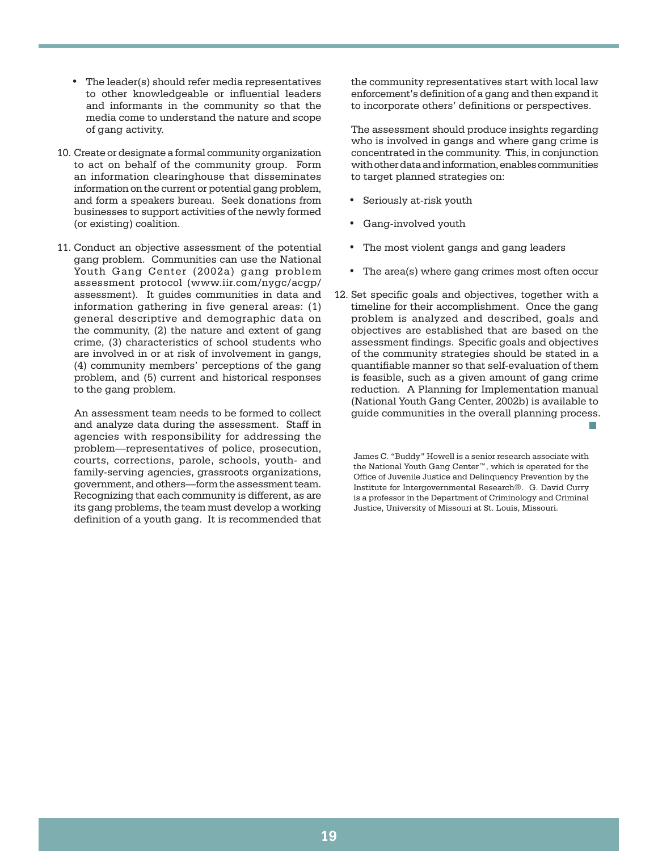- • The leader(s) should refer media representatives to other knowledgeable or influential leaders and informants in the community so that the media come to understand the nature and scope of gang activity.
- 10. Create or designate a formal community organization to act on behalf of the community group. Form an information clearinghouse that disseminates information on the current or potential gang problem, and form a speakers bureau. Seek donations from businesses to support activities of the newly formed (or existing) coalition.
- 11. Conduct an objective assessment of the potential gang problem. Communities can use the National Youth Gang Center (2002a) gang problem assessment protocol (www.iir.com/nygc/acgp/ assessment). It guides communities in data and information gathering in five general areas: (1) general descriptive and demographic data on the community, (2) the nature and extent of gang crime, (3) characteristics of school students who are involved in or at risk of involvement in gangs, (4) community members' perceptions of the gang problem, and (5) current and historical responses to the gang problem.

An assessment team needs to be formed to collect and analyze data during the assessment. Staff in agencies with responsibility for addressing the problem—representatives of police, prosecution, courts, corrections, parole, schools, youth- and family-serving agencies, grassroots organizations, government, and others—form the assessment team. Recognizing that each community is different, as are its gang problems, the team must develop a working definition of a youth gang. It is recommended that the community representatives start with local law enforcement's definition of a gang and then expand it to incorporate others' definitions or perspectives.

The assessment should produce insights regarding who is involved in gangs and where gang crime is concentrated in the community. This, in conjunction with other data and information, enables communities to target planned strategies on:

- Seriously at-risk youth
- Gang-involved youth
- The most violent gangs and gang leaders
- The area(s) where gang crimes most often occur
- 12. Set specific goals and objectives, together with a timeline for their accomplishment. Once the gang problem is analyzed and described, goals and objectives are established that are based on the assessment findings. Specific goals and objectives of the community strategies should be stated in a quantifiable manner so that self-evaluation of them is feasible, such as a given amount of gang crime reduction. A Planning for Implementation manual (National Youth Gang Center, 2002b) is available to guide communities in the overall planning process. not be a strong of the state of the state of the state of the

James C. "Buddy" Howell is a senior research associate with the National Youth Gang Center™, which is operated for the Office of Juvenile Justice and Delinquency Prevention by the Institute for Intergovernmental Research®. G. David Curry is a professor in the Department of Criminology and Criminal Justice, University of Missouri at St. Louis, Missouri.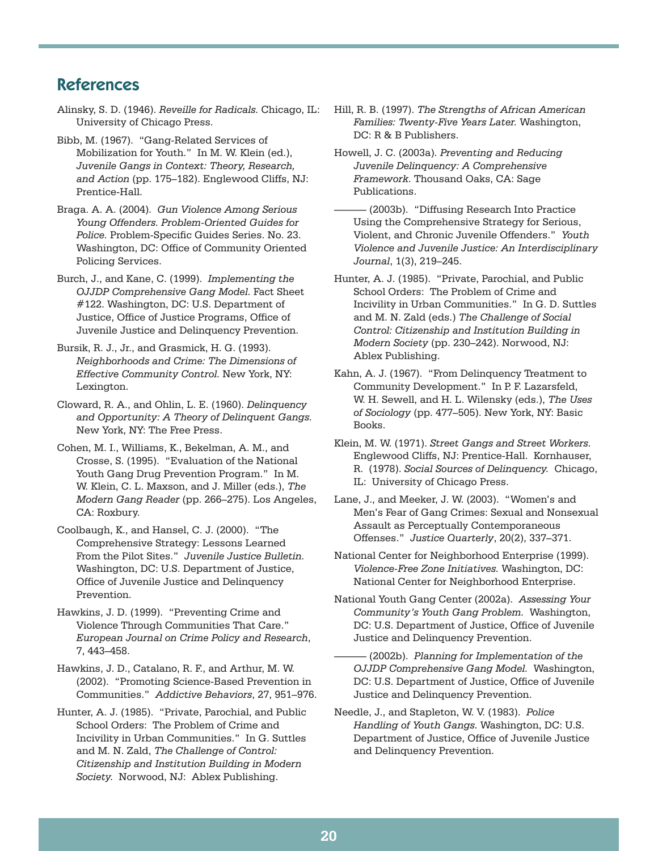## References

- Alinsky, S. D. (1946). *Reveille for Radicals.* Chicago, IL: University of Chicago Press.
- Bibb, M. (1967). "Gang-Related Services of Mobilization for Youth." In M. W. Klein (ed.), *Juvenile Gangs in Context: Theory, Research, and Action* (pp. 175–182). Englewood Cliffs, NJ: Prentice-Hall.
- Braga. A. A. (2004). *Gun Violence Among Serious Young Offenders. Problem-Oriented Guides for Police.* Problem-Specific Guides Series. No. 23. Washington, DC: Office of Community Oriented Policing Services.
- Burch, J., and Kane, C. (1999). *Implementing the OJJDP Comprehensive Gang Model.* Fact Sheet #122. Washington, DC: U.S. Department of Justice, Office of Justice Programs, Office of Juvenile Justice and Delinquency Prevention.
- Bursik, R. J., Jr., and Grasmick, H. G. (1993). *Neighborhoods and Crime: The Dimensions of Effective Community Control.* New York, NY: Lexington.
- Cloward, R. A., and Ohlin, L. E. (1960). *Delinquency and Opportunity: A Theory of Delinquent Gangs.* New York, NY: The Free Press.
- Cohen, M. I., Williams, K., Bekelman, A. M., and Crosse, S. (1995). "Evaluation of the National Youth Gang Drug Prevention Program." In M. W. Klein, C. L. Maxson, and J. Miller (eds.), *The Modern Gang Reader* (pp. 266–275). Los Angeles, CA: Roxbury.
- Coolbaugh, K., and Hansel, C. J. (2000). "The Comprehensive Strategy: Lessons Learned From the Pilot Sites." *Juvenile Justice Bulletin.* Washington, DC: U.S. Department of Justice, Office of Juvenile Justice and Delinquency Prevention.
- Hawkins, J. D. (1999). "Preventing Crime and Violence Through Communities That Care." *European Journal on Crime Policy and Research*, 7, 443–458.
- Hawkins, J. D., Catalano, R. F., and Arthur, M. W. (2002). "Promoting Science-Based Prevention in Communities." *Addictive Behaviors*, 27, 951–976.
- Hunter, A. J. (1985). "Private, Parochial, and Public School Orders: The Problem of Crime and Incivility in Urban Communities." In G. Suttles and M. N. Zald, *The Challenge of Control: Citizenship and Institution Building in Modern Society.* Norwood, NJ: Ablex Publishing.
- Hill, R. B. (1997). *The Strengths of African American Families: Twenty-Five Years Later.* Washington, DC: R & B Publishers.
- Howell, J. C. (2003a). *Preventing and Reducing Juvenile Delinquency: A Comprehensive Framework.* Thousand Oaks, CA: Sage Publications.
- (2003b). "Diffusing Research Into Practice Using the Comprehensive Strategy for Serious, Violent, and Chronic Juvenile Offenders." *Youth Violence and Juvenile Justice: An Interdisciplinary Journal*, 1(3), 219–245.
- Hunter, A. J. (1985). "Private, Parochial, and Public School Orders: The Problem of Crime and Incivility in Urban Communities." In G. D. Suttles and M. N. Zald (eds.) *The Challenge of Social Control: Citizenship and Institution Building in Modern Society* (pp. 230–242). Norwood, NJ: Ablex Publishing.
- Kahn, A. J. (1967). "From Delinquency Treatment to Community Development." In P. F. Lazarsfeld, W. H. Sewell, and H. L. Wilensky (eds.), *The Uses of Sociology* (pp. 477–505). New York, NY: Basic Books.
- Klein, M. W. (1971). *Street Gangs and Street Workers.* Englewood Cliffs, NJ: Prentice-Hall. Kornhauser, R. (1978). *Social Sources of Delinquency.* Chicago, IL: University of Chicago Press.
- Lane, J., and Meeker, J. W. (2003). "Women's and Men's Fear of Gang Crimes: Sexual and Nonsexual Assault as Perceptually Contemporaneous Offenses." *Justice Quarterly*, 20(2), 337–371.
- National Center for Neighborhood Enterprise (1999). *Violence-Free Zone Initiatives.* Washington, DC: National Center for Neighborhood Enterprise.
- National Youth Gang Center (2002a). *Assessing Your Community's Youth Gang Problem.* Washington, DC: U.S. Department of Justice, Office of Juvenile Justice and Delinquency Prevention.
	- (2002b). Planning for Implementation of the *OJJDP Comprehensive Gang Model.* Washington, DC: U.S. Department of Justice, Office of Juvenile Justice and Delinquency Prevention.
- Needle, J., and Stapleton, W. V. (1983). *Police Handling of Youth Gangs.* Washington, DC: U.S. Department of Justice, Office of Juvenile Justice and Delinquency Prevention.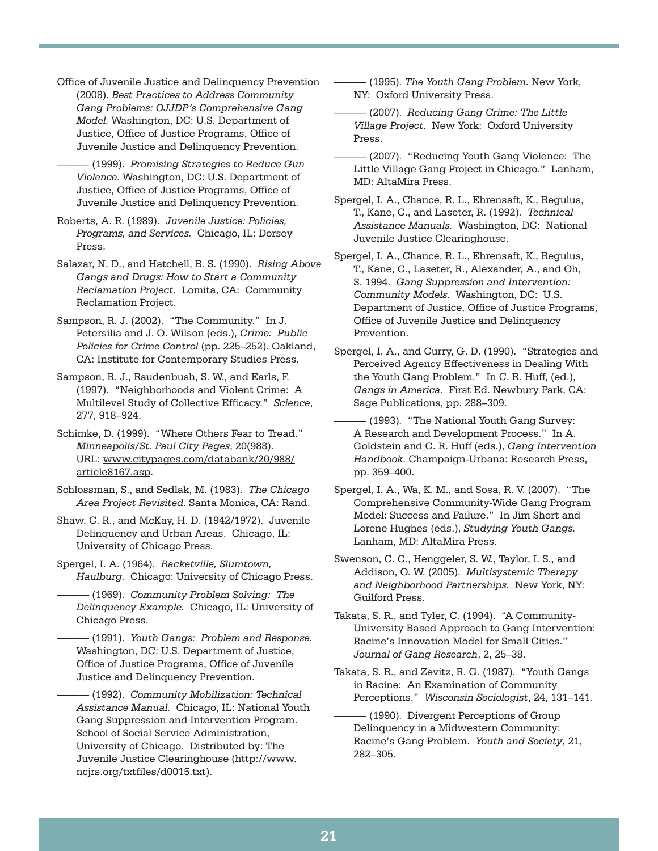Office of Juvenile Justice and Delinquency Prevention (2008). *Best Practices to Address Community Gang Problems: OJJDP's Comprehensive Gang Model.* Washington, DC: U.S. Department of Justice, Office of Justice Programs, Office of Juvenile Justice and Delinquency Prevention.

——— (1999). *Promising Strategies to Reduce Gun Violence.* Washington, DC: U.S. Department of Justice, Office of Justice Programs, Office of Juvenile Justice and Delinquency Prevention.

Roberts, A. R. (1989). *Juvenile Justice: Policies, Programs, and Services.* Chicago, IL: Dorsey Press.

Salazar, N. D., and Hatchell, B. S. (1990). *Rising Above Gangs and Drugs: How to Start a Community Reclamation Project.* Lomita, CA: Community Reclamation Project.

Sampson, R. J. (2002). "The Community." In J. Petersilia and J. Q. Wilson (eds.), *Crime: Public Policies for Crime Control* (pp. 225–252). Oakland, CA: Institute for Contemporary Studies Press.

Sampson, R. J., Raudenbush, S. W., and Earls, F. (1997). "Neighborhoods and Violent Crime: A Multilevel Study of Collective Efficacy." *Science*, 277, 918–924.

Schimke, D. (1999). "Where Others Fear to Tread." *Minneapolis/St. Paul City Pages*, 20(988). URL: www.citypages.com/databank/20/988/ article8167.asp.

Schlossman, S., and Sedlak, M. (1983). *The Chicago Area Project Revisited.* Santa Monica, CA: Rand.

Shaw, C. R., and McKay, H. D. (1942/1972). Juvenile Delinquency and Urban Areas. Chicago, IL: University of Chicago Press.

Spergel, I. A. (1964). *Racketville, Slumtown, Haulburg.* Chicago: University of Chicago Press.

——— (1969). *Community Problem Solving: The Delinquency Example.* Chicago, IL: University of Chicago Press.

——— (1991). *Youth Gangs: Problem and Response.* Washington, DC: U.S. Department of Justice, Office of Justice Programs, Office of Juvenile Justice and Delinquency Prevention.

——— (1992). *Community Mobilization: Technical Assistance Manual.* Chicago, IL: National Youth Gang Suppression and Intervention Program. School of Social Service Administration, University of Chicago. Distributed by: The Juvenile Justice Clearinghouse (http://www. ncjrs.org/txtfiles/d0015.txt).

——— (1995). *The Youth Gang Problem.* New York, NY: Oxford University Press.

——— (2007). *Reducing Gang Crime: The Little Village Project.* New York: Oxford University Press.

(2007). "Reducing Youth Gang Violence: The Little Village Gang Project in Chicago." Lanham, MD: AltaMira Press.

Spergel, I. A., Chance, R. L., Ehrensaft, K., Regulus, T., Kane, C., and Laseter, R. (1992). *Technical Assistance Manuals.* Washington, DC: National Juvenile Justice Clearinghouse.

Spergel, I. A., Chance, R. L., Ehrensaft, K., Regulus, T., Kane, C., Laseter, R., Alexander, A., and Oh, S. 1994. *Gang Suppression and Intervention: Community Models.* Washington, DC: U.S. Department of Justice, Office of Justice Programs, Office of Juvenile Justice and Delinquency Prevention.

Spergel, I. A., and Curry, G. D. (1990). "Strategies and Perceived Agency Effectiveness in Dealing With the Youth Gang Problem." In C. R. Huff, (ed.), *Gangs in America.* First Ed. Newbury Park, CA: Sage Publications, pp. 288–309.

——— (1993). "The National Youth Gang Survey: A Research and Development Process." In A. Goldstein and C. R. Huff (eds.), *Gang Intervention Handbook.* Champaign-Urbana: Research Press, pp. 359–400.

Spergel, I. A., Wa, K. M., and Sosa, R. V. (2007). "The Comprehensive Community-Wide Gang Program Model: Success and Failure." In Jim Short and Lorene Hughes (eds.), *Studying Youth Gangs.* Lanham, MD: AltaMira Press.

Swenson, C. C., Henggeler, S. W., Taylor, I. S., and Addison, O. W. (2005). *Multisystemic Therapy and Neighborhood Partnerships.* New York, NY: Guilford Press.

Takata, S. R., and Tyler, C. (1994). "A Community-University Based Approach to Gang Intervention: Racine's Innovation Model for Small Cities." *Journal of Gang Research*, 2, 25–38.

Takata, S. R., and Zevitz, R. G. (1987). "Youth Gangs in Racine: An Examination of Community Perceptions." *Wisconsin Sociologist*, 24, 131–141.

- (1990). Divergent Perceptions of Group Delinquency in a Midwestern Community: Racine's Gang Problem. *Youth and Society*, 21, 282–305.